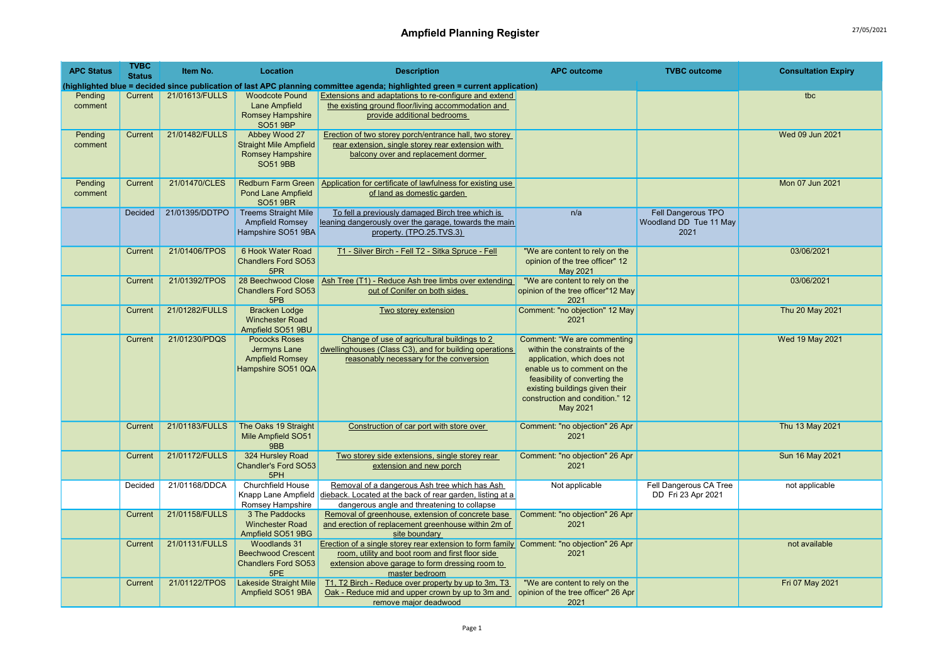| <b>APC Status</b>  | <b>TVBC</b><br><b>Status</b> | Item No.       | Location                                                                                     | <b>Description</b>                                                                                                                                                                                                | <b>APC outcome</b>                                                                                                                                                                                                                           | <b>TVBC</b> outcome                                  | <b>Consultation Expiry</b> |
|--------------------|------------------------------|----------------|----------------------------------------------------------------------------------------------|-------------------------------------------------------------------------------------------------------------------------------------------------------------------------------------------------------------------|----------------------------------------------------------------------------------------------------------------------------------------------------------------------------------------------------------------------------------------------|------------------------------------------------------|----------------------------|
|                    |                              |                |                                                                                              | (highlighted blue = decided since publication of last APC planning committee agenda; highlighted green = current application)                                                                                     |                                                                                                                                                                                                                                              |                                                      |                            |
| Pending<br>comment | Current                      | 21/01613/FULLS | <b>Woodcote Pound</b><br>Lane Ampfield<br><b>Romsey Hampshire</b><br><b>SO51 9BP</b>         | <b>Extensions and adaptations to re-configure and extend</b><br>the existing ground floor/living accommodation and<br>provide additional bedrooms                                                                 |                                                                                                                                                                                                                                              |                                                      | tbc                        |
| Pending<br>comment | Current                      | 21/01482/FULLS | Abbey Wood 27<br><b>Straight Mile Ampfield</b><br><b>Romsey Hampshire</b><br><b>SO51 9BB</b> | Erection of two storey porch/entrance hall, two storey<br>rear extension, single storey rear extension with<br>balcony over and replacement dormer                                                                |                                                                                                                                                                                                                                              |                                                      | Wed 09 Jun 2021            |
| Pending<br>comment | Current                      | 21/01470/CLES  | <b>Redburn Farm Green</b><br><b>Pond Lane Ampfield</b><br><b>SO51 9BR</b>                    | Application for certificate of lawfulness for existing use<br>of land as domestic garden                                                                                                                          |                                                                                                                                                                                                                                              |                                                      | Mon 07 Jun 2021            |
|                    | Decided                      | 21/01395/DDTPO | <b>Treems Straight Mile</b><br>Ampfield Romsey<br>Hampshire SO51 9BA                         | To fell a previously damaged Birch tree which is<br>leaning dangerously over the garage, towards the main<br>property. (TPO.25.TVS.3)                                                                             | n/a                                                                                                                                                                                                                                          | Fell Dangerous TPO<br>Woodland DD Tue 11 May<br>2021 |                            |
|                    | Current                      | 21/01406/TPOS  | 6 Hook Water Road<br><b>Chandlers Ford SO53</b><br>5PR                                       | T1 - Silver Birch - Fell T2 - Sitka Spruce - Fell                                                                                                                                                                 | "We are content to rely on the<br>opinion of the tree officer" 12<br>May 2021                                                                                                                                                                |                                                      | 03/06/2021                 |
|                    | Current                      | 21/01392/TPOS  | 28 Beechwood Close<br><b>Chandlers Ford SO53</b><br>5PB                                      | Ash Tree (T1) - Reduce Ash tree limbs over extending<br>out of Conifer on both sides                                                                                                                              | "We are content to rely on the<br>opinion of the tree officer"12 May<br>2021                                                                                                                                                                 |                                                      | 03/06/2021                 |
|                    | Current                      | 21/01282/FULLS | <b>Bracken Lodge</b><br><b>Winchester Road</b><br>Ampfield SO51 9BU                          | Two storey extension                                                                                                                                                                                              | Comment: "no objection" 12 May<br>2021                                                                                                                                                                                                       |                                                      | Thu 20 May 2021            |
|                    | Current                      | 21/01230/PDQS  | Pococks Roses<br>Jermyns Lane<br><b>Ampfield Romsey</b><br>Hampshire SO51 0QA                | Change of use of agricultural buildings to 2<br>dwellinghouses (Class C3), and for building operations<br>reasonably necessary for the conversion                                                                 | Comment: "We are commenting<br>within the constraints of the<br>application, which does not<br>enable us to comment on the<br>feasibility of converting the<br>existing buildings given their<br>construction and condition." 12<br>May 2021 |                                                      | Wed 19 May 2021            |
|                    | Current                      | 21/01183/FULLS | The Oaks 19 Straight<br>Mile Ampfield SO51<br>9BB                                            | Construction of car port with store over                                                                                                                                                                          | Comment: "no objection" 26 Apr<br>2021                                                                                                                                                                                                       |                                                      | Thu 13 May 2021            |
|                    | Current                      | 21/01172/FULLS | 324 Hursley Road<br>Chandler's Ford SO53<br>5PH                                              | Two storey side extensions, single storey rear<br>extension and new porch                                                                                                                                         | Comment: "no objection" 26 Apr<br>2021                                                                                                                                                                                                       |                                                      | Sun 16 May 2021            |
|                    | Decided                      | 21/01168/DDCA  | <b>Churchfield House</b><br>Knapp Lane Ampfield<br>Romsey Hampshire                          | Removal of a dangerous Ash tree which has Ash<br>dieback. Located at the back of rear garden, listing at a<br>dangerous angle and threatening to collapse                                                         | Not applicable                                                                                                                                                                                                                               | Fell Dangerous CA Tree<br>DD Fri 23 Apr 2021         | not applicable             |
|                    | Current                      | 21/01158/FULLS | 3 The Paddocks<br><b>Winchester Road</b><br>Ampfield SO51 9BG                                | Removal of greenhouse, extension of concrete base<br>and erection of replacement greenhouse within 2m of<br>site boundary                                                                                         | Comment: "no objection" 26 Apr<br>2021                                                                                                                                                                                                       |                                                      |                            |
|                    | Current                      | 21/01131/FULLS | <b>Woodlands 31</b><br><b>Beechwood Crescent</b><br><b>Chandlers Ford SO53</b><br>5PE        | Erection of a single storey rear extension to form family Comment: "no objection" 26 Apr<br>room, utility and boot room and first floor side<br>extension above garage to form dressing room to<br>master bedroom | 2021                                                                                                                                                                                                                                         |                                                      | not available              |
|                    | Current                      | 21/01122/TPOS  | Lakeside Straight Mile<br>Ampfield SO51 9BA                                                  | T1, T2 Birch - Reduce over property by up to 3m, T3<br>Oak - Reduce mid and upper crown by up to 3m and<br>remove major deadwood                                                                                  | "We are content to rely on the<br>opinion of the tree officer" 26 Apr<br>2021                                                                                                                                                                |                                                      | Fri 07 May 2021            |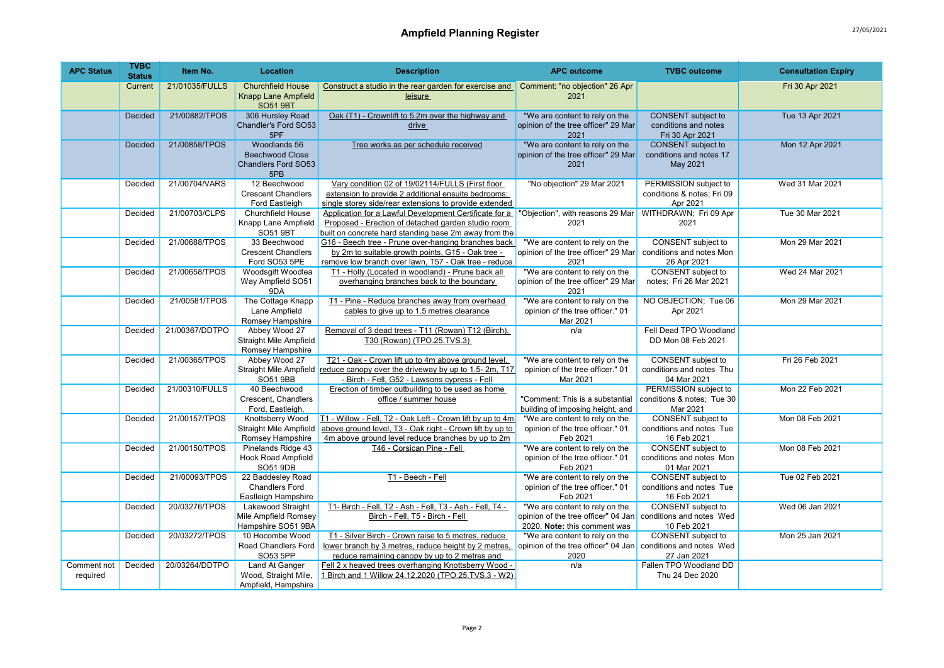| <b>APC Status</b>       | <b>TVBC</b><br><b>Status</b> | Item No.       | Location                                                                  | <b>Description</b>                                                                                                                                                          | <b>APC outcome</b>                                                                                    | <b>TVBC</b> outcome                                                  | <b>Consultation Expiry</b> |
|-------------------------|------------------------------|----------------|---------------------------------------------------------------------------|-----------------------------------------------------------------------------------------------------------------------------------------------------------------------------|-------------------------------------------------------------------------------------------------------|----------------------------------------------------------------------|----------------------------|
|                         | Current                      | 21/01035/FULLS | <b>Churchfield House</b><br><b>Knapp Lane Ampfield</b><br><b>SO51 9BT</b> | Construct a studio in the rear garden for exercise and<br>leisure                                                                                                           | Comment: "no objection" 26 Apr<br>2021                                                                |                                                                      | Fri 30 Apr 2021            |
|                         | <b>Decided</b>               | 21/00882/TPOS  | 306 Hursley Road<br>Chandler's Ford SO53<br>5PF                           | Oak (T1) - Crownlift to 5.2m over the highway and<br>drive                                                                                                                  | "We are content to rely on the<br>opinion of the tree officer" 29 Mar<br>2021                         | <b>CONSENT</b> subject to<br>conditions and notes<br>Fri 30 Apr 2021 | Tue 13 Apr 2021            |
|                         | Decided                      | 21/00858/TPOS  | Woodlands 56<br><b>Beechwood Close</b><br>Chandlers Ford SO53<br>5PB      | Tree works as per schedule received                                                                                                                                         | "We are content to rely on the<br>opinion of the tree officer" 29 Mar<br>2021                         | CONSENT subject to<br>conditions and notes 17<br>May 2021            | Mon 12 Apr 2021            |
|                         | Decided                      | 21/00704/VARS  | 12 Beechwood<br><b>Crescent Chandlers</b><br>Ford Eastleigh               | Vary condition 02 of 19/02114/FULLS (First floor<br>extension to provide 2 additional ensuite bedrooms;<br>single storey side/rear extensions to provide extended           | "No objection" 29 Mar 2021                                                                            | PERMISSION subject to<br>conditions & notes; Fri 09<br>Apr 2021      | Wed 31 Mar 2021            |
|                         | Decided                      | 21/00703/CLPS  | <b>Churchfield House</b><br>Knapp Lane Ampfield<br>SO51 9BT               | Application for a Lawful Development Certificate for a<br>Proposed - Erection of detached garden studio room<br>built on concrete hard standing base 2m away from the       | "Obiection", with reasons 29 Mar<br>2021                                                              | WITHDRAWN; Fri 09 Apr<br>2021                                        | Tue 30 Mar 2021            |
|                         | Decided                      | 21/00688/TPOS  | 33 Beechwood<br><b>Crescent Chandlers</b><br>Ford SO53 5PE                | G16 - Beech tree - Prune over-hanging branches back<br>by 2m to suitable growth points, G15 - Oak tree -<br>remove low branch over lawn, T57 - Oak tree - reduce            | "We are content to rely on the<br>opinion of the tree officer" 29 Mar<br>2021                         | CONSENT subject to<br>conditions and notes Mon<br>26 Apr 2021        | Mon 29 Mar 2021            |
|                         | Decided                      | 21/00658/TPOS  | Woodsgift Woodlea<br>Way Ampfield SO51<br>9DA                             | T1 - Holly (Located in woodland) - Prune back all<br>overhanging branches back to the boundary                                                                              | "We are content to rely on the<br>opinion of the tree officer" 29 Mar<br>2021                         | CONSENT subject to<br>notes: Fri 26 Mar 2021                         | Wed 24 Mar 2021            |
|                         | Decided                      | 21/00581/TPOS  | The Cottage Knapp<br>Lane Ampfield<br>Romsey Hampshire                    | T1 - Pine - Reduce branches away from overhead<br>cables to give up to 1.5 metres clearance                                                                                 | "We are content to rely on the<br>opinion of the tree officer." 01<br>Mar 2021                        | NO OBJECTION; Tue 06<br>Apr 2021                                     | Mon 29 Mar 2021            |
|                         | Decided                      | 21/00367/DDTPO | Abbey Wood 27<br><b>Straight Mile Ampfield</b><br>Romsey Hampshire        | Removal of 3 dead trees - T11 (Rowan) T12 (Birch),<br>T30 (Rowan) (TPO.25.TVS.3)                                                                                            | n/a                                                                                                   | Fell Dead TPO Woodland<br>DD Mon 08 Feb 2021                         |                            |
|                         | Decided                      | 21/00365/TPOS  | Abbey Wood 27<br>Straight Mile Ampfield<br><b>SO51 9BB</b>                | T21 - Oak - Crown lift up to 4m above ground level,<br>reduce canopy over the driveway by up to 1.5-2m, T17<br>- Birch - Fell, G52 - Lawsons cypress - Fell                 | "We are content to rely on the<br>opinion of the tree officer." 01<br>Mar 2021                        | <b>CONSENT</b> subject to<br>conditions and notes Thu<br>04 Mar 2021 | Fri 26 Feb 2021            |
|                         | Decided                      | 21/00310/FULLS | 40 Beechwood<br>Crescent. Chandlers<br>Ford, Eastleigh,                   | Erection of timber outbuilding to be used as home<br>office / summer house                                                                                                  | "Comment: This is a substantial<br>building of imposing height, and                                   | PERMISSION subject to<br>conditions & notes; Tue 30<br>Mar 2021      | Mon 22 Feb 2021            |
|                         | Decided                      | 21/00157/TPOS  | Knottsberry Wood<br>Straight Mile Ampfield<br>Romsey Hampshire            | T1 - Willow - Fell, T2 - Oak Left - Crown lift by up to 4m<br>above ground level, T3 - Oak right - Crown lift by up to<br>4m above ground level reduce branches by up to 2m | "We are content to rely on the<br>opinion of the tree officer." 01<br>Feb 2021                        | CONSENT subject to<br>conditions and notes Tue<br>16 Feb 2021        | Mon 08 Feb 2021            |
|                         | Decided                      | 21/00150/TPOS  | Pinelands Ridge 43<br>Hook Road Ampfield<br>SO51 9DB                      | T46 - Corsican Pine - Fell                                                                                                                                                  | "We are content to rely on the<br>opinion of the tree officer." 01<br>Feb 2021                        | CONSENT subject to<br>conditions and notes Mon<br>01 Mar 2021        | Mon 08 Feb 2021            |
|                         | Decided                      | 21/00093/TPOS  | 22 Baddesley Road<br><b>Chandlers Ford</b><br>Eastleigh Hampshire         | T1 - Beech - Fell                                                                                                                                                           | "We are content to rely on the<br>opinion of the tree officer." 01<br>Feb 2021                        | <b>CONSENT</b> subject to<br>conditions and notes Tue<br>16 Feb 2021 | Tue 02 Feb 2021            |
|                         | Decided                      | 20/03276/TPOS  | Lakewood Straight<br>Mile Ampfield Romsey<br>Hampshire SO51 9BA           | T1- Birch - Fell, T2 - Ash - Fell, T3 - Ash - Fell, T4 -<br>Birch - Fell, T5 - Birch - Fell                                                                                 | "We are content to rely on the<br>opinion of the tree officer" 04 Jan<br>2020. Note: this comment was | CONSENT subject to<br>conditions and notes Wed<br>10 Feb 2021        | Wed 06 Jan 2021            |
|                         | Decided                      | 20/03272/TPOS  | 10 Hocombe Wood<br>Road Chandlers Ford<br>SO53 5PP                        | T1 - Silver Birch - Crown raise to 5 metres, reduce<br>lower branch by 3 metres, reduce height by 2 metres,<br>reduce remaining canopy by up to 2 metres and                | "We are content to rely on the<br>opinion of the tree officer" 04 Jan<br>2020                         | CONSENT subject to<br>conditions and notes Wed<br>27 Jan 2021        | Mon 25 Jan 2021            |
| Comment not<br>required | Decided                      | 20/03264/DDTPO | <b>Land At Ganger</b><br>Wood, Straight Mile,<br>Ampfield, Hampshire      | Fell 2 x heaved trees overhanging Knottsberry Wood -<br>1 Birch and 1 Willow 24.12.2020 (TPO.25.TVS.3 - W2)                                                                 | n/a                                                                                                   | Fallen TPO Woodland DD<br>Thu 24 Dec 2020                            |                            |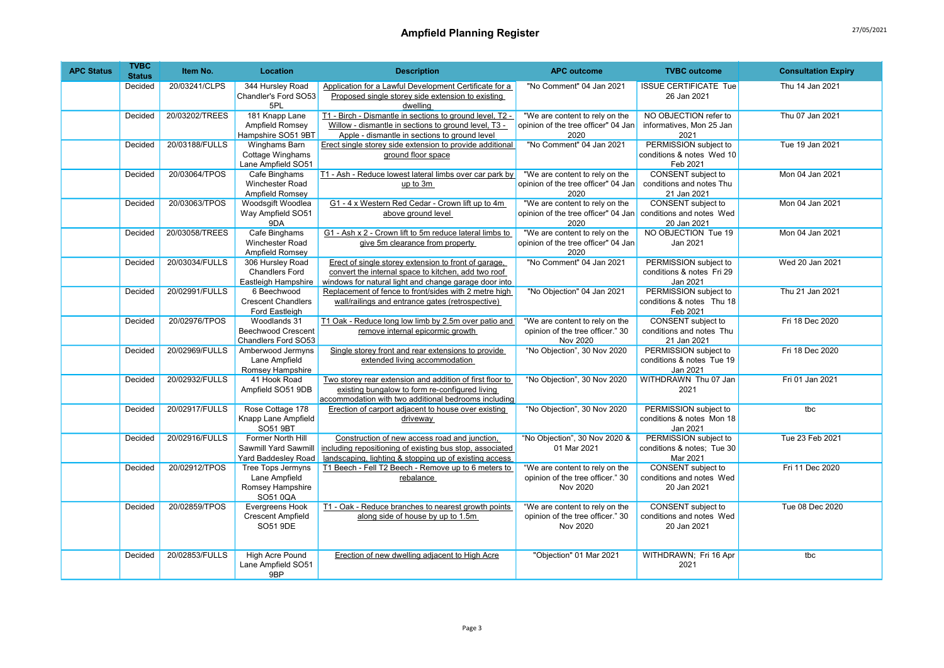| <b>APC Status</b> | <b>TVBC</b><br><b>Status</b> | Item No.       | <b>Location</b>                                                           | <b>Description</b>                                                                                                                                                   | <b>APC outcome</b>                                                             | <b>TVBC</b> outcome                                                  | <b>Consultation Expiry</b> |
|-------------------|------------------------------|----------------|---------------------------------------------------------------------------|----------------------------------------------------------------------------------------------------------------------------------------------------------------------|--------------------------------------------------------------------------------|----------------------------------------------------------------------|----------------------------|
|                   | Decided                      | 20/03241/CLPS  | 344 Hursley Road<br>Chandler's Ford SO53<br>5PL                           | Application for a Lawful Development Certificate for a<br>Proposed single storey side extension to existing<br>dwelling                                              | "No Comment" 04 Jan 2021                                                       | <b>ISSUE CERTIFICATE Tue</b><br>26 Jan 2021                          | Thu 14 Jan 2021            |
|                   | Decided                      | 20/03202/TREES | 181 Knapp Lane<br>Ampfield Romsey<br>Hampshire SO51 9BT                   | T1 - Birch - Dismantle in sections to ground level, T2 -<br>Willow - dismantle in sections to ground level, T3 -<br>Apple - dismantle in sections to ground level    | "We are content to rely on the<br>opinion of the tree officer" 04 Jan<br>2020  | NO OBJECTION refer to<br>informatives, Mon 25 Jan<br>2021            | Thu 07 Jan 2021            |
|                   | Decided                      | 20/03188/FULLS | Winghams Barn<br>Cottage Winghams<br>Lane Ampfield SO51                   | Erect single storey side extension to provide additional<br>ground floor space                                                                                       | "No Comment" 04 Jan 2021                                                       | PERMISSION subject to<br>conditions & notes Wed 10<br>Feb 2021       | Tue 19 Jan 2021            |
|                   | Decided                      | 20/03064/TPOS  | Cafe Binghams<br>Winchester Road<br>Ampfield Romsey                       | T1 - Ash - Reduce lowest lateral limbs over car park by<br>up to 3m                                                                                                  | "We are content to rely on the<br>opinion of the tree officer" 04 Jan<br>2020  | <b>CONSENT</b> subject to<br>conditions and notes Thu<br>21 Jan 2021 | Mon 04 Jan 2021            |
|                   | Decided                      | 20/03063/TPOS  | Woodsgift Woodlea<br>Way Ampfield SO51<br>9DA                             | G1 - 4 x Western Red Cedar - Crown lift up to 4m<br>above ground level                                                                                               | "We are content to rely on the<br>opinion of the tree officer" 04 Jan<br>2020  | <b>CONSENT</b> subject to<br>conditions and notes Wed<br>20 Jan 2021 | Mon 04 Jan 2021            |
|                   | Decided                      | 20/03058/TREES | Cafe Binghams<br>Winchester Road<br>Ampfield Romsey                       | G1 - Ash x 2 - Crown lift to 5m reduce lateral limbs to<br>give 5m clearance from property                                                                           | "We are content to rely on the<br>opinion of the tree officer" 04 Jan<br>2020  | NO OBJECTION Tue 19<br>Jan 2021                                      | Mon 04 Jan 2021            |
|                   | Decided                      | 20/03034/FULLS | 306 Hursley Road<br><b>Chandlers Ford</b><br>Eastleigh Hampshire          | Erect of single storey extension to front of garage,<br>convert the internal space to kitchen, add two roof<br>windows for natural light and change garage door into | "No Comment" 04 Jan 2021                                                       | PERMISSION subject to<br>conditions & notes Fri 29<br>Jan 2021       | Wed 20 Jan 2021            |
|                   | Decided                      | 20/02991/FULLS | 6 Beechwood<br><b>Crescent Chandlers</b><br>Ford Eastleigh                | Replacement of fence to front/sides with 2 metre high<br>wall/railings and entrance gates (retrospective)                                                            | "No Objection" 04 Jan 2021                                                     | PERMISSION subject to<br>conditions & notes Thu 18<br>Feb 2021       | Thu 21 Jan 2021            |
|                   | Decided                      | 20/02976/TPOS  | Woodlands 31<br><b>Beechwood Crescent</b><br>Chandlers Ford SO53          | T1 Oak - Reduce long low limb by 2.5m over patio and<br>remove internal epicormic growth                                                                             | "We are content to rely on the<br>opinion of the tree officer." 30<br>Nov 2020 | CONSENT subject to<br>conditions and notes Thu<br>21 Jan 2021        | Fri 18 Dec 2020            |
|                   | Decided                      | 20/02969/FULLS | Amberwood Jermyns<br>Lane Ampfield<br>Romsey Hampshire                    | Single storey front and rear extensions to provide<br>extended living accommodation                                                                                  | "No Objection", 30 Nov 2020                                                    | PERMISSION subject to<br>conditions & notes Tue 19<br>Jan 2021       | Fri 18 Dec 2020            |
|                   | Decided                      | 20/02932/FULLS | 41 Hook Road<br>Ampfield SO51 9DB                                         | Two storey rear extension and addition of first floor to<br>existing bungalow to form re-configured living<br>accommodation with two additional bedrooms including   | "No Objection", 30 Nov 2020                                                    | WITHDRAWN Thu 07 Jan<br>2021                                         | Fri 01 Jan 2021            |
|                   | Decided                      | 20/02917/FULLS | Rose Cottage 178<br>Knapp Lane Ampfield<br><b>SO51 9BT</b>                | Erection of carport adjacent to house over existing<br>driveway                                                                                                      | "No Objection", 30 Nov 2020                                                    | PERMISSION subject to<br>conditions & notes Mon 18<br>Jan 2021       | tbc                        |
|                   | Decided                      | 20/02916/FULLS | Former North Hill<br>Sawmill Yard Sawmill<br>Yard Baddesley Road          | Construction of new access road and junction,<br>including repositioning of existing bus stop, associated<br>landscaping, lighting & stopping up of existing access  | "No Objection", 30 Nov 2020 &<br>01 Mar 2021                                   | PERMISSION subject to<br>conditions & notes; Tue 30<br>Mar 2021      | Tue 23 Feb 2021            |
|                   | Decided                      | 20/02912/TPOS  | <b>Tree Tops Jermyns</b><br>Lane Ampfield<br>Romsey Hampshire<br>SO51 0QA | T1 Beech - Fell T2 Beech - Remove up to 6 meters to<br>rebalance                                                                                                     | "We are content to rely on the<br>opinion of the tree officer." 30<br>Nov 2020 | CONSENT subject to<br>conditions and notes Wed<br>20 Jan 2021        | Fri 11 Dec 2020            |
|                   | Decided                      | 20/02859/TPOS  | Evergreens Hook<br><b>Crescent Ampfield</b><br>SO51 9DE                   | T1 - Oak - Reduce branches to nearest growth points<br>along side of house by up to 1.5m                                                                             | "We are content to rely on the<br>opinion of the tree officer." 30<br>Nov 2020 | CONSENT subject to<br>conditions and notes Wed<br>20 Jan 2021        | Tue 08 Dec 2020            |
|                   | Decided                      | 20/02853/FULLS | <b>High Acre Pound</b><br>Lane Ampfield SO51<br>9BP                       | Erection of new dwelling adjacent to High Acre                                                                                                                       | "Objection" 01 Mar 2021                                                        | WITHDRAWN; Fri 16 Apr<br>2021                                        | tbc                        |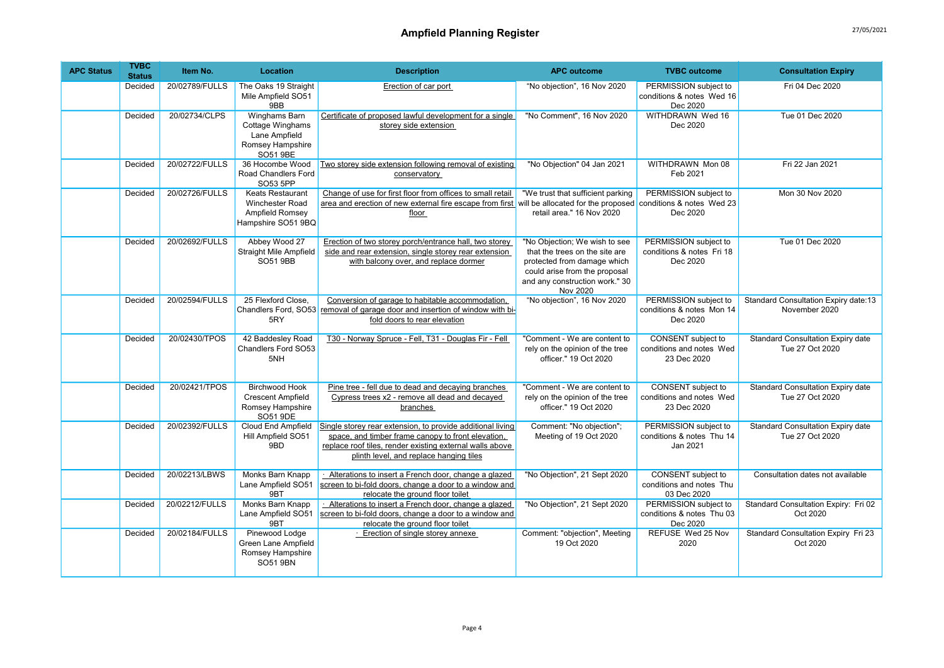| <b>APC Status</b> | <b>TVBC</b><br><b>Status</b> | Item No.       | Location                                                                                  | <b>Description</b>                                                                                                                                                                                                      | <b>APC outcome</b>                                                                                                                                                            | <b>TVBC</b> outcome                                            | <b>Consultation Expiry</b>                                   |
|-------------------|------------------------------|----------------|-------------------------------------------------------------------------------------------|-------------------------------------------------------------------------------------------------------------------------------------------------------------------------------------------------------------------------|-------------------------------------------------------------------------------------------------------------------------------------------------------------------------------|----------------------------------------------------------------|--------------------------------------------------------------|
|                   | Decided                      | 20/02789/FULLS | The Oaks 19 Straight<br>Mile Ampfield SO51<br>9BB                                         | Erection of car port                                                                                                                                                                                                    | "No objection", 16 Nov 2020                                                                                                                                                   | PERMISSION subject to<br>conditions & notes Wed 16<br>Dec 2020 | Fri 04 Dec 2020                                              |
|                   | Decided                      | 20/02734/CLPS  | Winghams Barn<br><b>Cottage Winghams</b><br>Lane Ampfield<br>Romsey Hampshire<br>SO51 9BE | Certificate of proposed lawful development for a single<br>storev side extension                                                                                                                                        | "No Comment", 16 Nov 2020                                                                                                                                                     | WITHDRAWN Wed 16<br>Dec 2020                                   | Tue 01 Dec 2020                                              |
|                   | Decided                      | 20/02722/FULLS | 36 Hocombe Wood<br>Road Chandlers Ford<br>SO53 5PP                                        | Two storey side extension following removal of existing<br>conservatory                                                                                                                                                 | "No Objection" 04 Jan 2021                                                                                                                                                    | WITHDRAWN Mon 08<br>Feb 2021                                   | Fri 22 Jan 2021                                              |
|                   | Decided                      | 20/02726/FULLS | Keats Restaurant<br>Winchester Road<br>Ampfield Romsey<br>Hampshire SO51 9BQ              | Change of use for first floor from offices to small retail<br>area and erection of new external fire escape from first will be allocated for the proposed<br>floor                                                      | "We trust that sufficient parking<br>retail area." 16 Nov 2020                                                                                                                | PERMISSION subject to<br>conditions & notes Wed 23<br>Dec 2020 | Mon 30 Nov 2020                                              |
|                   | Decided                      | 20/02692/FULLS | Abbey Wood 27<br><b>Straight Mile Ampfield</b><br><b>SO51 9BB</b>                         | Erection of two storey porch/entrance hall, two storey<br>side and rear extension, single storey rear extension<br>with balcony over, and replace dormer                                                                | "No Objection; We wish to see<br>that the trees on the site are<br>protected from damage which<br>could arise from the proposal<br>and any construction work." 30<br>Nov 2020 | PERMISSION subject to<br>conditions & notes Fri 18<br>Dec 2020 | Tue 01 Dec 2020                                              |
|                   | Decided                      | 20/02594/FULLS | 25 Flexford Close,<br>Chandlers Ford, SO53<br>5RY                                         | Conversion of garage to habitable accommodation,<br>removal of garage door and insertion of window with bi-<br>fold doors to rear elevation                                                                             | "No objection", 16 Nov 2020                                                                                                                                                   | PERMISSION subject to<br>conditions & notes Mon 14<br>Dec 2020 | <b>Standard Consultation Expiry date:13</b><br>November 2020 |
|                   | Decided                      | 20/02430/TPOS  | 42 Baddesley Road<br>Chandlers Ford SO53<br>5NH                                           | T30 - Norway Spruce - Fell, T31 - Douglas Fir - Fell                                                                                                                                                                    | "Comment - We are content to<br>rely on the opinion of the tree<br>officer." 19 Oct 2020                                                                                      | CONSENT subject to<br>conditions and notes Wed<br>23 Dec 2020  | <b>Standard Consultation Expiry date</b><br>Tue 27 Oct 2020  |
|                   | Decided                      | 20/02421/TPOS  | <b>Birchwood Hook</b><br><b>Crescent Ampfield</b><br>Romsey Hampshire<br>SO51 9DE         | Pine tree - fell due to dead and decaying branches<br>Cypress trees x2 - remove all dead and decayed<br>branches                                                                                                        | "Comment - We are content to<br>rely on the opinion of the tree<br>officer." 19 Oct 2020                                                                                      | CONSENT subject to<br>conditions and notes Wed<br>23 Dec 2020  | Standard Consultation Expiry date<br>Tue 27 Oct 2020         |
|                   | Decided                      | 20/02392/FULLS | Cloud End Ampfield<br>Hill Ampfield SO51<br>9BD                                           | Single storey rear extension, to provide additional living<br>space, and timber frame canopy to front elevation,<br>replace roof tiles, render existing external walls above<br>plinth level, and replace hanging tiles | Comment: "No objection";<br>Meeting of 19 Oct 2020                                                                                                                            | PERMISSION subject to<br>conditions & notes Thu 14<br>Jan 2021 | <b>Standard Consultation Expiry date</b><br>Tue 27 Oct 2020  |
|                   | Decided                      | 20/02213/LBWS  | Monks Barn Knapp<br>Lane Ampfield SO51<br>9BT                                             | Alterations to insert a French door, change a glazed<br>screen to bi-fold doors, change a door to a window and<br>relocate the ground floor toilet                                                                      | "No Objection", 21 Sept 2020                                                                                                                                                  | CONSENT subject to<br>conditions and notes Thu<br>03 Dec 2020  | Consultation dates not available                             |
|                   | Decided                      | 20/02212/FULLS | <b>Monks Barn Knapp</b><br>Lane Ampfield SO51<br>9BT                                      | Alterations to insert a French door, change a glazed<br>screen to bi-fold doors, change a door to a window and<br>relocate the ground floor toilet                                                                      | "No Objection", 21 Sept 2020                                                                                                                                                  | PERMISSION subject to<br>conditions & notes Thu 03<br>Dec 2020 | Standard Consultation Expiry: Fri 02<br>Oct 2020             |
|                   | Decided                      | 20/02184/FULLS | Pinewood Lodge<br>Green Lane Ampfield<br>Romsey Hampshire<br>SO51 9BN                     | · Erection of single storey annexe                                                                                                                                                                                      | Comment: "objection", Meeting<br>19 Oct 2020                                                                                                                                  | REFUSE Wed 25 Nov<br>2020                                      | <b>Standard Consultation Expiry Fri 23</b><br>Oct 2020       |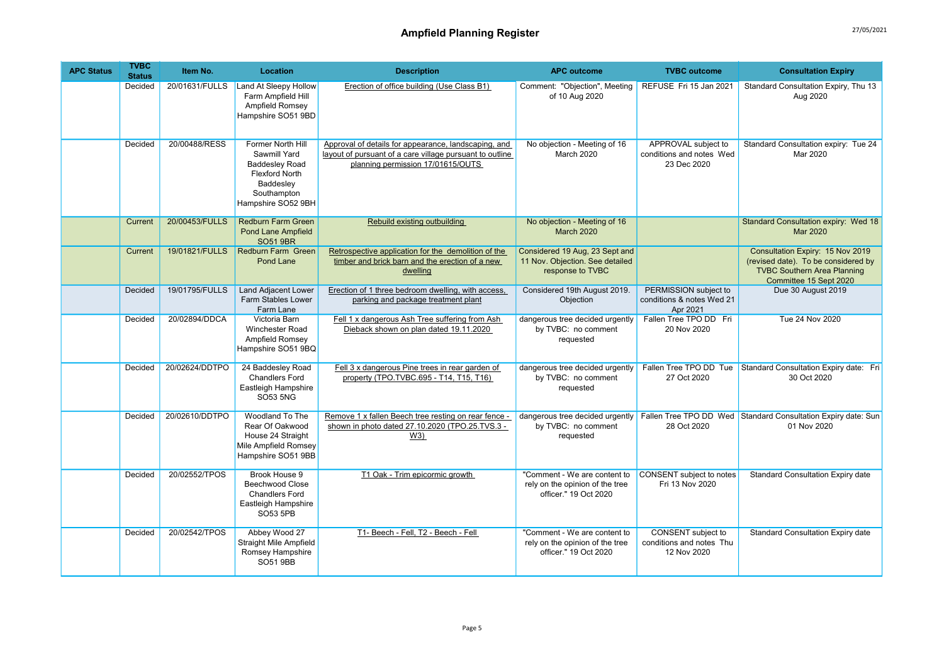| <b>APC Status</b> | <b>TVBC</b><br><b>Status</b> | Item No.       | Location                                                                                                                              | <b>Description</b>                                                                                                                                    | <b>APC outcome</b>                                                                       | <b>TVBC</b> outcome                                            | <b>Consultation Expiry</b>                                                                                                              |
|-------------------|------------------------------|----------------|---------------------------------------------------------------------------------------------------------------------------------------|-------------------------------------------------------------------------------------------------------------------------------------------------------|------------------------------------------------------------------------------------------|----------------------------------------------------------------|-----------------------------------------------------------------------------------------------------------------------------------------|
|                   | Decided                      | 20/01631/FULLS | Land At Sleepy Hollow<br>Farm Ampfield Hill<br>Ampfield Romsey<br>Hampshire SO51 9BD                                                  | Erection of office building (Use Class B1)                                                                                                            | Comment: "Objection", Meeting<br>of 10 Aug 2020                                          | REFUSE Fri 15 Jan 2021                                         | Standard Consultation Expiry, Thu 13<br>Aug 2020                                                                                        |
|                   | Decided                      | 20/00488/RESS  | Former North Hill<br>Sawmill Yard<br><b>Baddesley Road</b><br><b>Flexford North</b><br>Baddesley<br>Southampton<br>Hampshire SO52 9BH | Approval of details for appearance, landscaping, and<br>lavout of pursuant of a care village pursuant to outline<br>planning permission 17/01615/OUTS | No objection - Meeting of 16<br>March 2020                                               | APPROVAL subject to<br>conditions and notes Wed<br>23 Dec 2020 | Standard Consultation expiry: Tue 24<br>Mar 2020                                                                                        |
|                   | Current                      | 20/00453/FULLS | <b>Redburn Farm Green</b><br><b>Pond Lane Ampfield</b><br><b>SO51 9BR</b>                                                             | Rebuild existing outbuilding                                                                                                                          | No objection - Meeting of 16<br><b>March 2020</b>                                        |                                                                | Standard Consultation expiry: Wed 18<br>Mar 2020                                                                                        |
|                   | Current                      | 19/01821/FULLS | Redburn Farm Green<br>Pond Lane                                                                                                       | Retrospective application for the demolition of the<br>timber and brick barn and the erection of a new<br>dwelling                                    | Considered 19 Aug, 23 Sept and<br>11 Nov. Objection. See detailed<br>response to TVBC    |                                                                | Consultation Expiry: 15 Nov 2019<br>(revised date). To be considered by<br><b>TVBC Southern Area Planning</b><br>Committee 15 Sept 2020 |
|                   | Decided                      | 19/01795/FULLS | Land Adjacent Lower<br><b>Farm Stables Lower</b><br>Farm Lane                                                                         | Erection of 1 three bedroom dwelling, with access,<br>parking and package treatment plant                                                             | Considered 19th August 2019.<br>Objection                                                | PERMISSION subject to<br>conditions & notes Wed 21<br>Apr 2021 | Due 30 August 2019                                                                                                                      |
|                   | Decided                      | 20/02894/DDCA  | Victoria Barn<br>Winchester Road<br>Ampfield Romsey<br>Hampshire SO51 9BQ                                                             | Fell 1 x dangerous Ash Tree suffering from Ash<br>Dieback shown on plan dated 19.11.2020                                                              | dangerous tree decided urgently<br>by TVBC: no comment<br>requested                      | Fallen Tree TPO DD Fri<br>20 Nov 2020                          | Tue 24 Nov 2020                                                                                                                         |
|                   | Decided                      | 20/02624/DDTPO | 24 Baddesley Road<br><b>Chandlers Ford</b><br>Eastleigh Hampshire<br><b>SO53 5NG</b>                                                  | Fell 3 x dangerous Pine trees in rear garden of<br>property (TPO.TVBC.695 - T14, T15, T16)                                                            | dangerous tree decided urgently<br>by TVBC: no comment<br>requested                      | Fallen Tree TPO DD Tue<br>27 Oct 2020                          | Standard Consultation Expiry date: Fri<br>30 Oct 2020                                                                                   |
|                   | Decided                      | 20/02610/DDTPO | Woodland To The<br>Rear Of Oakwood<br>House 24 Straight<br>Mile Ampfield Romsey<br>Hampshire SO51 9BB                                 | Remove 1 x fallen Beech tree resting on rear fence -<br>shown in photo dated 27.10.2020 (TPO.25.TVS.3 -<br>W3)                                        | dangerous tree decided urgently<br>by TVBC: no comment<br>requested                      | 28 Oct 2020                                                    | Fallen Tree TPO DD Wed Standard Consultation Expiry date: Sun<br>01 Nov 2020                                                            |
|                   | Decided                      | 20/02552/TPOS  | Brook House 9<br><b>Beechwood Close</b><br><b>Chandlers Ford</b><br>Eastleigh Hampshire<br>SO53 5PB                                   | T1 Oak - Trim epicormic growth                                                                                                                        | "Comment - We are content to<br>rely on the opinion of the tree<br>officer." 19 Oct 2020 | CONSENT subject to notes<br>Fri 13 Nov 2020                    | Standard Consultation Expiry date                                                                                                       |
|                   | Decided                      | 20/02542/TPOS  | Abbey Wood 27<br>Straight Mile Ampfield<br>Romsey Hampshire<br>SO51 9BB                                                               | T1- Beech - Fell, T2 - Beech - Fell                                                                                                                   | "Comment - We are content to<br>rely on the opinion of the tree<br>officer." 19 Oct 2020 | CONSENT subject to<br>conditions and notes Thu<br>12 Nov 2020  | Standard Consultation Expiry date                                                                                                       |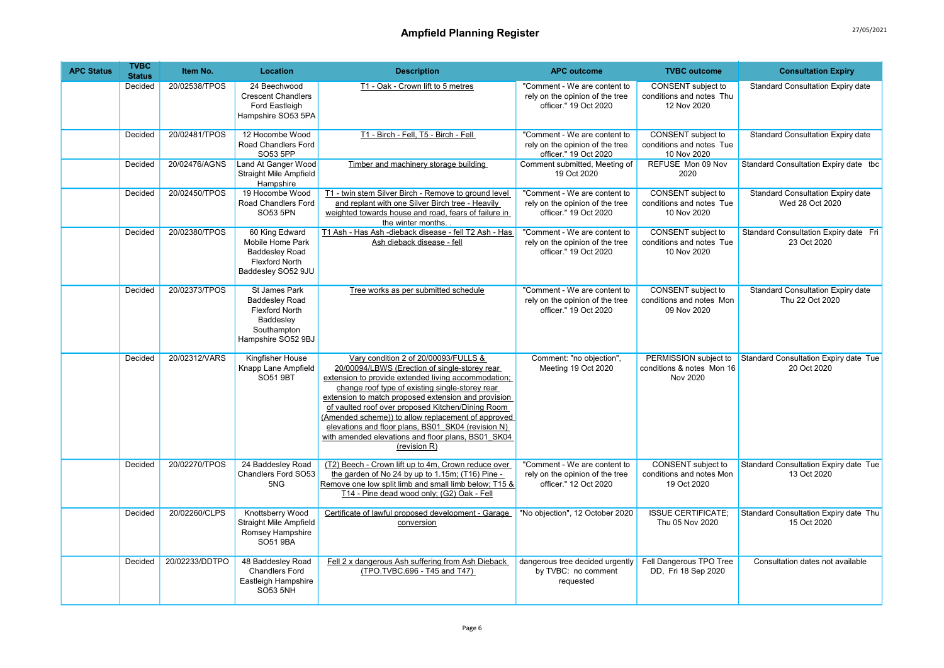| <b>APC Status</b> | <b>TVBC</b><br><b>Status</b> | Item No.       | Location                                                                                                                 | <b>Description</b>                                                                                                                                                                                                                                                                                                                                                                                                                                                                            | <b>APC outcome</b>                                                                       | <b>TVBC</b> outcome                                                  | <b>Consultation Expiry</b>                                  |
|-------------------|------------------------------|----------------|--------------------------------------------------------------------------------------------------------------------------|-----------------------------------------------------------------------------------------------------------------------------------------------------------------------------------------------------------------------------------------------------------------------------------------------------------------------------------------------------------------------------------------------------------------------------------------------------------------------------------------------|------------------------------------------------------------------------------------------|----------------------------------------------------------------------|-------------------------------------------------------------|
|                   | Decided                      | 20/02538/TPOS  | 24 Beechwood<br><b>Crescent Chandlers</b><br>Ford Eastleigh<br>Hampshire SO53 5PA                                        | T1 - Oak - Crown lift to 5 metres                                                                                                                                                                                                                                                                                                                                                                                                                                                             | "Comment - We are content to<br>rely on the opinion of the tree<br>officer." 19 Oct 2020 | CONSENT subject to<br>conditions and notes Thu<br>12 Nov 2020        | <b>Standard Consultation Expiry date</b>                    |
|                   | Decided                      | 20/02481/TPOS  | 12 Hocombe Wood<br>Road Chandlers Ford<br>SO53 5PP                                                                       | T1 - Birch - Fell, T5 - Birch - Fell                                                                                                                                                                                                                                                                                                                                                                                                                                                          | "Comment - We are content to<br>rely on the opinion of the tree<br>officer." 19 Oct 2020 | <b>CONSENT</b> subject to<br>conditions and notes Tue<br>10 Nov 2020 | <b>Standard Consultation Expiry date</b>                    |
|                   | Decided                      | 20/02476/AGNS  | Land At Ganger Wood<br>Straight Mile Ampfield<br>Hampshire                                                               | Timber and machinery storage building                                                                                                                                                                                                                                                                                                                                                                                                                                                         | Comment submitted, Meeting of<br>19 Oct 2020                                             | REFUSE Mon 09 Nov<br>2020                                            | Standard Consultation Expiry date tbc                       |
|                   | Decided                      | 20/02450/TPOS  | 19 Hocombe Wood<br>Road Chandlers Ford<br>SO53 5PN                                                                       | T1 - twin stem Silver Birch - Remove to ground level<br>and replant with one Silver Birch tree - Heavily<br>weighted towards house and road, fears of failure in<br>the winter months.                                                                                                                                                                                                                                                                                                        | "Comment - We are content to<br>rely on the opinion of the tree<br>officer." 19 Oct 2020 | CONSENT subject to<br>conditions and notes Tue<br>10 Nov 2020        | <b>Standard Consultation Expiry date</b><br>Wed 28 Oct 2020 |
|                   | Decided                      | 20/02380/TPOS  | 60 King Edward<br>Mobile Home Park<br><b>Baddesley Road</b><br><b>Flexford North</b><br>Baddesley SO52 9JU               | T1 Ash - Has Ash -dieback disease - fell T2 Ash - Has<br>Ash dieback disease - fell                                                                                                                                                                                                                                                                                                                                                                                                           | "Comment - We are content to<br>rely on the opinion of the tree<br>officer." 19 Oct 2020 | CONSENT subject to<br>conditions and notes Tue<br>10 Nov 2020        | Standard Consultation Expiry date Fri<br>23 Oct 2020        |
|                   | Decided                      | 20/02373/TPOS  | <b>St James Park</b><br><b>Baddesley Road</b><br><b>Flexford North</b><br>Baddesley<br>Southampton<br>Hampshire SO52 9BJ | Tree works as per submitted schedule                                                                                                                                                                                                                                                                                                                                                                                                                                                          | "Comment - We are content to<br>rely on the opinion of the tree<br>officer." 19 Oct 2020 | <b>CONSENT</b> subject to<br>conditions and notes Mon<br>09 Nov 2020 | <b>Standard Consultation Expiry date</b><br>Thu 22 Oct 2020 |
|                   | <b>Decided</b>               | 20/02312/VARS  | Kingfisher House<br>Knapp Lane Ampfield<br>SO51 9BT                                                                      | Vary condition 2 of 20/00093/FULLS &<br>20/00094/LBWS (Erection of single-storey rear<br>extension to provide extended living accommodation;<br>change roof type of existing single-storey rear<br>extension to match proposed extension and provision<br>of vaulted roof over proposed Kitchen/Dining Room<br>(Amended scheme)) to allow replacement of approved<br>elevations and floor plans, BS01 SK04 (revision N)<br>with amended elevations and floor plans, BS01 SK04<br>(revision R) | Comment: "no objection",<br>Meeting 19 Oct 2020                                          | PERMISSION subject to<br>conditions & notes Mon 16<br>Nov 2020       | Standard Consultation Expiry date Tue<br>20 Oct 2020        |
|                   | Decided                      | 20/02270/TPOS  | 24 Baddesley Road<br>Chandlers Ford SO53<br>5NG                                                                          | (T2) Beech - Crown lift up to 4m, Crown reduce over<br>the garden of No 24 by up to 1.15m; (T16) Pine -<br>Remove one low split limb and small limb below; T15 &<br>T14 - Pine dead wood only; (G2) Oak - Fell                                                                                                                                                                                                                                                                                | "Comment - We are content to<br>rely on the opinion of the tree<br>officer." 12 Oct 2020 | <b>CONSENT</b> subject to<br>conditions and notes Mon<br>19 Oct 2020 | Standard Consultation Expiry date Tue<br>13 Oct 2020        |
|                   | Decided                      | 20/02260/CLPS  | Knottsberry Wood<br><b>Straight Mile Ampfield</b><br>Romsey Hampshire<br><b>SO51 9BA</b>                                 | Certificate of lawful proposed development - Garage<br>conversion                                                                                                                                                                                                                                                                                                                                                                                                                             | "No objection", 12 October 2020                                                          | <b>ISSUE CERTIFICATE:</b><br>Thu 05 Nov 2020                         | Standard Consultation Expiry date Thu<br>15 Oct 2020        |
|                   | Decided                      | 20/02233/DDTPO | 48 Baddesley Road<br><b>Chandlers Ford</b><br>Eastleigh Hampshire<br><b>SO53 5NH</b>                                     | Fell 2 x dangerous Ash suffering from Ash Dieback<br>(TPO.TVBC.696 - T45 and T47)                                                                                                                                                                                                                                                                                                                                                                                                             | dangerous tree decided urgently<br>by TVBC: no comment<br>requested                      | Fell Dangerous TPO Tree<br>DD, Fri 18 Sep 2020                       | Consultation dates not available                            |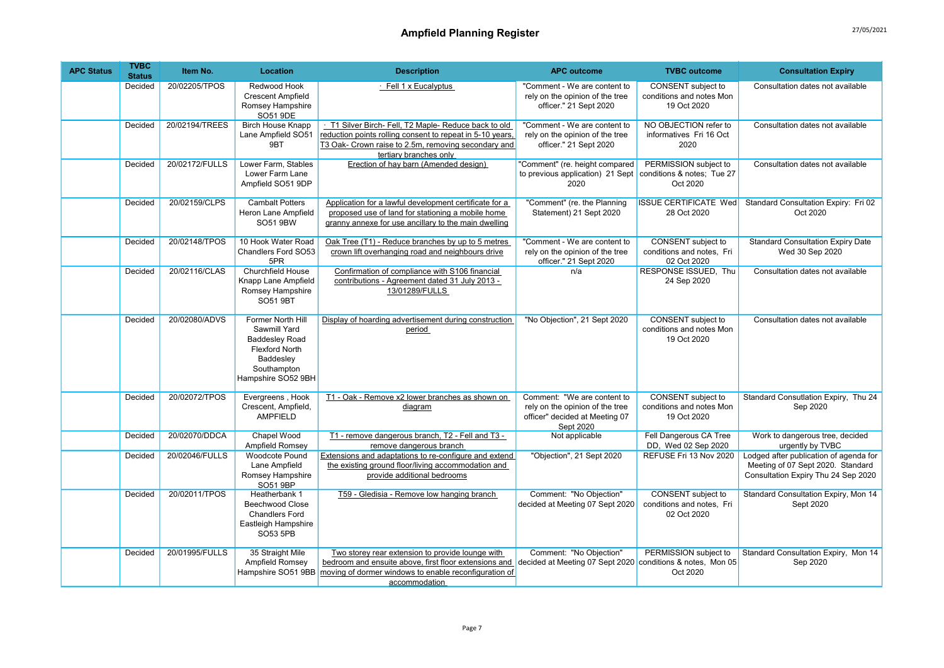| <b>APC Status</b> | <b>TVBC</b><br><b>Status</b> | Item No.       | Location                                                                                                                              | <b>Description</b>                                                                                                                                                                                     | <b>APC outcome</b>                                                                                            | <b>TVBC</b> outcome                                                  | <b>Consultation Expiry</b>                                                                                         |
|-------------------|------------------------------|----------------|---------------------------------------------------------------------------------------------------------------------------------------|--------------------------------------------------------------------------------------------------------------------------------------------------------------------------------------------------------|---------------------------------------------------------------------------------------------------------------|----------------------------------------------------------------------|--------------------------------------------------------------------------------------------------------------------|
|                   | Decided                      | 20/02205/TPOS  | Redwood Hook<br><b>Crescent Ampfield</b><br>Romsey Hampshire<br>SO51 9DE                                                              | · Fell 1 x Eucalyptus                                                                                                                                                                                  | "Comment - We are content to<br>rely on the opinion of the tree<br>officer." 21 Sept 2020                     | CONSENT subject to<br>conditions and notes Mon<br>19 Oct 2020        | Consultation dates not available                                                                                   |
|                   | Decided                      | 20/02194/TREES | <b>Birch House Knapp</b><br>Lane Ampfield SO51<br>9BT                                                                                 | T1 Silver Birch- Fell, T2 Maple- Reduce back to old<br>reduction points rolling consent to repeat in 5-10 years,<br>T3 Oak- Crown raise to 2.5m, removing secondary and<br>tertiary branches only      | "Comment - We are content to<br>rely on the opinion of the tree<br>officer." 21 Sept 2020                     | NO OBJECTION refer to<br>informatives Fri 16 Oct<br>2020             | Consultation dates not available                                                                                   |
|                   | Decided                      | 20/02172/FULLS | Lower Farm, Stables<br>Lower Farm Lane<br>Ampfield SO51 9DP                                                                           | Erection of hay barn (Amended design)                                                                                                                                                                  | "Comment" (re. height compared<br>to previous application) 21 Sept<br>2020                                    | PERMISSION subject to<br>conditions & notes; Tue 27<br>Oct 2020      | Consultation dates not available                                                                                   |
|                   | Decided                      | 20/02159/CLPS  | <b>Cambalt Potters</b><br>Heron Lane Ampfield<br>SO51 9BW                                                                             | Application for a lawful development certificate for a<br>proposed use of land for stationing a mobile home<br>granny annexe for use ancillary to the main dwelling                                    | "Comment" (re. the Planning<br>Statement) 21 Sept 2020                                                        | <b>ISSUE CERTIFICATE Wed</b><br>28 Oct 2020                          | Standard Consultation Expiry: Fri 02<br>Oct 2020                                                                   |
|                   | Decided                      | 20/02148/TPOS  | 10 Hook Water Road<br>Chandlers Ford SO53<br>5PR                                                                                      | Oak Tree (T1) - Reduce branches by up to 5 metres<br>crown lift overhanging road and neighbours drive                                                                                                  | "Comment - We are content to<br>rely on the opinion of the tree<br>officer." 21 Sept 2020                     | CONSENT subject to<br>conditions and notes, Fri<br>02 Oct 2020       | <b>Standard Consultation Expiry Date</b><br>Wed 30 Sep 2020                                                        |
|                   | Decided                      | 20/02116/CLAS  | <b>Churchfield House</b><br>Knapp Lane Ampfield<br>Romsey Hampshire<br>SO51 9BT                                                       | Confirmation of compliance with S106 financial<br>contributions - Agreement dated 31 July 2013 -<br>13/01289/FULLS                                                                                     | n/a                                                                                                           | RESPONSE ISSUED, Thu<br>24 Sep 2020                                  | Consultation dates not available                                                                                   |
|                   | Decided                      | 20/02080/ADVS  | Former North Hill<br>Sawmill Yard<br><b>Baddesley Road</b><br><b>Flexford North</b><br>Baddesley<br>Southampton<br>Hampshire SO52 9BH | Display of hoarding advertisement during construction<br>period                                                                                                                                        | "No Objection", 21 Sept 2020                                                                                  | <b>CONSENT</b> subject to<br>conditions and notes Mon<br>19 Oct 2020 | Consultation dates not available                                                                                   |
|                   | Decided                      | 20/02072/TPOS  | Evergreens, Hook<br>Crescent, Ampfield,<br><b>AMPFIELD</b>                                                                            | T1 - Oak - Remove x2 lower branches as shown on<br>diagram                                                                                                                                             | Comment: "We are content to<br>rely on the opinion of the tree<br>officer" decided at Meeting 07<br>Sept 2020 | <b>CONSENT</b> subject to<br>conditions and notes Mon<br>19 Oct 2020 | Standard Consutlation Expiry, Thu 24<br>Sep 2020                                                                   |
|                   | Decided                      | 20/02070/DDCA  | Chapel Wood<br>Ampfield Romsey                                                                                                        | T1 - remove dangerous branch, T2 - Fell and T3 -<br>remove dangerous branch                                                                                                                            | Not applicable                                                                                                | Fell Dangerous CA Tree<br>DD. Wed 02 Sep 2020                        | Work to dangerous tree, decided<br>urgently by TVBC                                                                |
|                   | Decided                      | 20/02046/FULLS | <b>Woodcote Pound</b><br>Lane Ampfield<br>Romsey Hampshire<br>SO51 9BP                                                                | Extensions and adaptations to re-configure and extend<br>the existing ground floor/living accommodation and<br>provide additional bedrooms                                                             | "Objection", 21 Sept 2020                                                                                     | REFUSE Fri 13 Nov 2020                                               | Lodged after publication of agenda for<br>Meeting of 07 Sept 2020. Standard<br>Consultation Expiry Thu 24 Sep 2020 |
|                   | Decided                      | 20/02011/TPOS  | Heatherbank 1<br><b>Beechwood Close</b><br><b>Chandlers Ford</b><br>Eastleigh Hampshire<br>SO53 5PB                                   | T59 - Gledisia - Remove low hanging branch                                                                                                                                                             | Comment: "No Objection"<br>decided at Meeting 07 Sept 2020                                                    | CONSENT subject to<br>conditions and notes, Fri<br>02 Oct 2020       | Standard Consultation Expiry, Mon 14<br>Sept 2020                                                                  |
|                   | Decided                      | 20/01995/FULLS | 35 Straight Mile<br>Ampfield Romsey                                                                                                   | Two storey rear extension to provide lounge with<br>bedroom and ensuite above, first floor extensions and<br>Hampshire SO51 9BB moving of dormer windows to enable reconfiguration of<br>accommodation | Comment: "No Objection"<br>decided at Meeting 07 Sept 2020                                                    | PERMISSION subject to<br>conditions & notes, Mon 05<br>Oct 2020      | Standard Consultation Expiry, Mon 14<br>Sep 2020                                                                   |

Page 7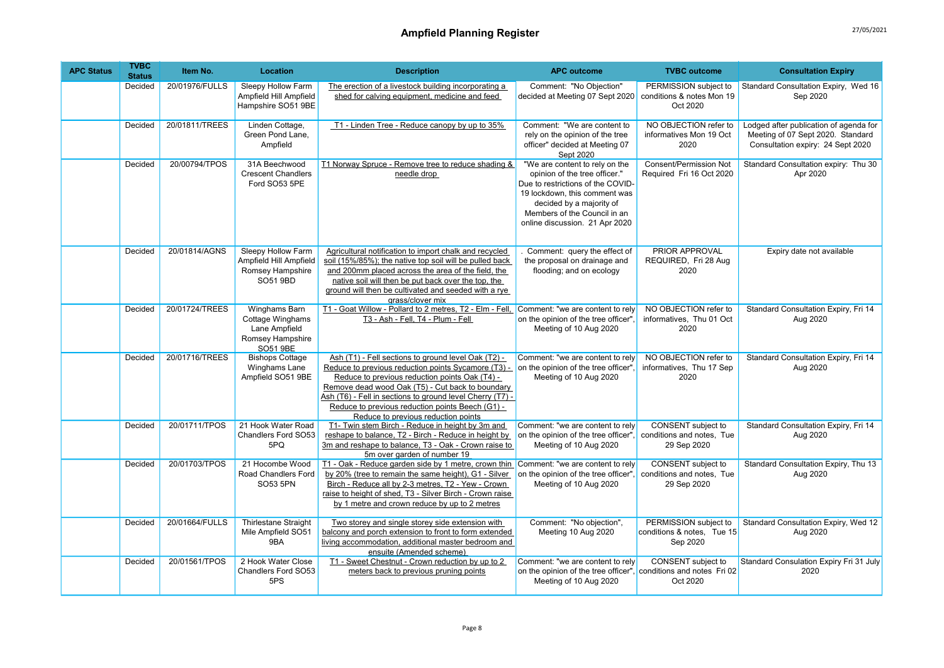| <b>APC Status</b> | <b>TVBC</b><br><b>Status</b> | Item No.       | Location                                                                                  | <b>Description</b>                                                                                                                                                                                                                                                                                                                                                       | <b>APC outcome</b>                                                                                                                                                                                                                  | <b>TVBC</b> outcome                                                   | <b>Consultation Expiry</b>                                                                                       |
|-------------------|------------------------------|----------------|-------------------------------------------------------------------------------------------|--------------------------------------------------------------------------------------------------------------------------------------------------------------------------------------------------------------------------------------------------------------------------------------------------------------------------------------------------------------------------|-------------------------------------------------------------------------------------------------------------------------------------------------------------------------------------------------------------------------------------|-----------------------------------------------------------------------|------------------------------------------------------------------------------------------------------------------|
|                   | Decided                      | 20/01976/FULLS | Sleepy Hollow Farm<br>Ampfield Hill Ampfield<br>Hampshire SO51 9BE                        | The erection of a livestock building incorporating a<br>shed for calving equipment, medicine and feed                                                                                                                                                                                                                                                                    | Comment: "No Objection"<br>decided at Meeting 07 Sept 2020                                                                                                                                                                          | PERMISSION subject to<br>conditions & notes Mon 19<br>Oct 2020        | Standard Consultation Expiry, Wed 16<br>Sep 2020                                                                 |
|                   | Decided                      | 20/01811/TREES | Linden Cottage,<br>Green Pond Lane.<br>Ampfield                                           | T1 - Linden Tree - Reduce canopy by up to 35%                                                                                                                                                                                                                                                                                                                            | Comment: "We are content to<br>rely on the opinion of the tree<br>officer" decided at Meeting 07<br>Sept 2020                                                                                                                       | NO OBJECTION refer to<br>informatives Mon 19 Oct<br>2020              | Lodged after publication of agenda for<br>Meeting of 07 Sept 2020. Standard<br>Consultation expiry: 24 Sept 2020 |
|                   | Decided                      | 20/00794/TPOS  | 31A Beechwood<br><b>Crescent Chandlers</b><br>Ford SO53 5PE                               | T1 Norway Spruce - Remove tree to reduce shading &<br>needle drop                                                                                                                                                                                                                                                                                                        | "We are content to rely on the<br>opinion of the tree officer."<br>Due to restrictions of the COVID-<br>19 lockdown, this comment was<br>decided by a majority of<br>Members of the Council in an<br>online discussion. 21 Apr 2020 | <b>Consent/Permission Not</b><br>Required Fri 16 Oct 2020             | Standard Consultation expiry: Thu 30<br>Apr 2020                                                                 |
|                   | Decided                      | 20/01814/AGNS  | Sleepy Hollow Farm<br>Ampfield Hill Ampfield<br>Romsey Hampshire<br>SO51 9BD              | Agricultural notification to import chalk and recycled<br>soil (15%/85%); the native top soil will be pulled back<br>and 200mm placed across the area of the field, the<br>native soil will then be put back over the top, the<br>ground will then be cultivated and seeded with a rye<br>grass/clover mix                                                               | Comment: query the effect of<br>the proposal on drainage and<br>flooding; and on ecology                                                                                                                                            | PRIOR APPROVAL<br>REQUIRED, Fri 28 Aug<br>2020                        | Expiry date not available                                                                                        |
|                   | Decided                      | 20/01724/TREES | Winghams Barn<br>Cottage Winghams<br>Lane Ampfield<br>Romsey Hampshire<br><b>SO51 9BE</b> | T1 - Goat Willow - Pollard to 2 metres, T2 - Elm - Fell, Comment: "we are content to rely<br>T3 - Ash - Fell, T4 - Plum - Fell                                                                                                                                                                                                                                           | on the opinion of the tree officer".<br>Meeting of 10 Aug 2020                                                                                                                                                                      | NO OBJECTION refer to<br>informatives. Thu 01 Oct<br>2020             | Standard Consultation Expiry, Fri 14<br>Aug 2020                                                                 |
|                   | Decided                      | 20/01716/TREES | <b>Bishops Cottage</b><br>Winghams Lane<br>Ampfield SO51 9BE                              | Ash (T1) - Fell sections to ground level Oak (T2) -<br>Reduce to previous reduction points Sycamore (T3) -<br>Reduce to previous reduction points Oak (T4) -<br>Remove dead wood Oak (T5) - Cut back to boundary<br>Ash (T6) - Fell in sections to ground level Cherry (T7) -<br>Reduce to previous reduction points Beech (G1) -<br>Reduce to previous reduction points | Comment: "we are content to rely<br>on the opinion of the tree officer".<br>Meeting of 10 Aug 2020                                                                                                                                  | NO OBJECTION refer to<br>informatives, Thu 17 Sep<br>2020             | Standard Consultation Expiry, Fri 14<br>Aug 2020                                                                 |
|                   | Decided                      | 20/01711/TPOS  | 21 Hook Water Road<br><b>Chandlers Ford SO53</b><br>5PQ                                   | T1- Twin stem Birch - Reduce in height by 3m and<br>reshape to balance, T2 - Birch - Reduce in height by<br>3m and reshape to balance, T3 - Oak - Crown raise to<br>5m over garden of number 19                                                                                                                                                                          | Comment: "we are content to rely<br>on the opinion of the tree officer",<br>Meeting of 10 Aug 2020                                                                                                                                  | <b>CONSENT</b> subject to<br>conditions and notes, Tue<br>29 Sep 2020 | Standard Consultation Expiry, Fri 14<br>Aug 2020                                                                 |
|                   | Decided                      | 20/01703/TPOS  | 21 Hocombe Wood<br>Road Chandlers Ford<br>SO53 5PN                                        | $\underline{\text{T1}}$ - Oak - Reduce garden side by 1 metre, crown thin Comment: "we are content to rely<br>by 20% (tree to remain the same height), G1 - Silver<br>Birch - Reduce all by 2-3 metres, T2 - Yew - Crown<br>raise to height of shed, T3 - Silver Birch - Crown raise<br>by 1 metre and crown reduce by up to 2 metres                                    | on the opinion of the tree officer",<br>Meeting of 10 Aug 2020                                                                                                                                                                      | CONSENT subject to<br>conditions and notes, Tue<br>29 Sep 2020        | Standard Consultation Expiry, Thu 13<br>Aug 2020                                                                 |
|                   | Decided                      | 20/01664/FULLS | <b>Thirlestane Straight</b><br>Mile Ampfield SO51<br>9BA                                  | Two storey and single storey side extension with<br>balcony and porch extension to front to form extended<br>living accommodation, additional master bedroom and<br>ensuite (Amended scheme)                                                                                                                                                                             | Comment: "No objection",<br>Meeting 10 Aug 2020                                                                                                                                                                                     | PERMISSION subject to<br>conditions & notes, Tue 15<br>Sep 2020       | Standard Consultation Expiry, Wed 12<br>Aug 2020                                                                 |
|                   | Decided                      | 20/01561/TPOS  | 2 Hook Water Close<br>Chandlers Ford SO53<br>5PS                                          | T1 - Sweet Chestnut - Crown reduction by up to 2<br>meters back to previous pruning points                                                                                                                                                                                                                                                                               | Comment: "we are content to rely<br>on the opinion of the tree officer", conditions and notes Fri 02<br>Meeting of 10 Aug 2020                                                                                                      | CONSENT subject to<br>Oct 2020                                        | Standard Consulation Expiry Fri 31 July<br>2020                                                                  |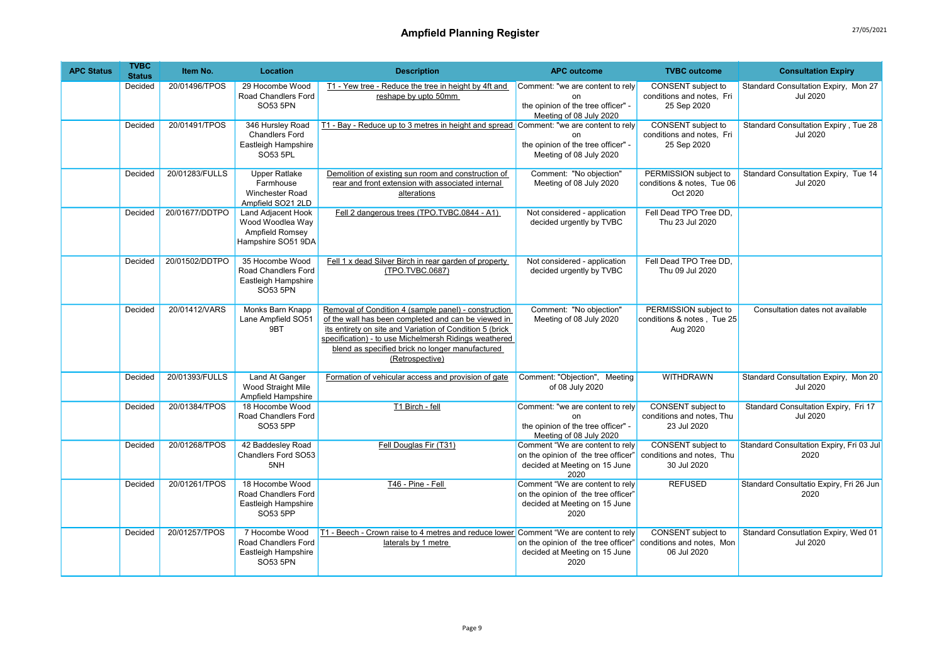| <b>APC Status</b> | <b>TVBC</b><br><b>Status</b> | Item No.       | Location                                                                        | <b>Description</b>                                                                                                                                                                                                                                                                                     | <b>APC outcome</b>                                                                                              | <b>TVBC</b> outcome                                                   | <b>Consultation Expiry</b>                              |
|-------------------|------------------------------|----------------|---------------------------------------------------------------------------------|--------------------------------------------------------------------------------------------------------------------------------------------------------------------------------------------------------------------------------------------------------------------------------------------------------|-----------------------------------------------------------------------------------------------------------------|-----------------------------------------------------------------------|---------------------------------------------------------|
|                   | Decided                      | 20/01496/TPOS  | 29 Hocombe Wood<br>Road Chandlers Ford<br>SO53 5PN                              | T1 - Yew tree - Reduce the tree in height by 4ft and<br>reshape by upto 50mm                                                                                                                                                                                                                           | Comment: "we are content to rely<br>$\Omega$<br>the opinion of the tree officer" -<br>Meeting of 08 July 2020   | <b>CONSENT</b> subject to<br>conditions and notes, Fri<br>25 Sep 2020 | Standard Consultation Expiry, Mon 27<br><b>Jul 2020</b> |
|                   | Decided                      | 20/01491/TPOS  | 346 Hursley Road<br><b>Chandlers Ford</b><br>Eastleigh Hampshire<br>SO53 5PL    | T1 - Bay - Reduce up to 3 metres in height and spread Comment: "we are content to rely                                                                                                                                                                                                                 | nn<br>the opinion of the tree officer" -<br>Meeting of 08 July 2020                                             | CONSENT subject to<br>conditions and notes, Fri<br>25 Sep 2020        | Standard Consultation Expiry, Tue 28<br><b>Jul 2020</b> |
|                   | Decided                      | 20/01283/FULLS | <b>Upper Ratlake</b><br>Farmhouse<br>Winchester Road<br>Ampfield SO21 2LD       | Demolition of existing sun room and construction of<br>rear and front extension with associated internal<br>alterations                                                                                                                                                                                | Comment: "No objection"<br>Meeting of 08 July 2020                                                              | PERMISSION subject to<br>conditions & notes, Tue 06<br>Oct 2020       | Standard Consultation Expiry, Tue 14<br><b>Jul 2020</b> |
|                   | Decided                      | 20/01677/DDTPO | Land Adjacent Hook<br>Wood Woodlea Way<br>Ampfield Romsey<br>Hampshire SO51 9DA | Fell 2 dangerous trees (TPO.TVBC.0844 - A1)                                                                                                                                                                                                                                                            | Not considered - application<br>decided urgently by TVBC                                                        | Fell Dead TPO Tree DD,<br>Thu 23 Jul 2020                             |                                                         |
|                   | Decided                      | 20/01502/DDTPO | 35 Hocombe Wood<br>Road Chandlers Ford<br>Eastleigh Hampshire<br>SO53 5PN       | Fell 1 x dead Silver Birch in rear garden of property<br>(TPO.TVBC.0687)                                                                                                                                                                                                                               | Not considered - application<br>decided urgently by TVBC                                                        | Fell Dead TPO Tree DD,<br>Thu 09 Jul 2020                             |                                                         |
|                   | Decided                      | 20/01412/VARS  | Monks Barn Knapp<br>Lane Ampfield SO51<br>9BT                                   | Removal of Condition 4 (sample panel) - construction<br>of the wall has been completed and can be viewed in<br>its entirety on site and Variation of Condition 5 (brick<br>specification) - to use Michelmersh Ridings weathered<br>blend as specified brick no longer manufactured<br>(Retrospective) | Comment: "No objection"<br>Meeting of 08 July 2020                                                              | PERMISSION subject to<br>conditions & notes, Tue 25<br>Aug 2020       | Consultation dates not available                        |
|                   | Decided                      | 20/01393/FULLS | <b>Land At Ganger</b><br>Wood Straight Mile<br>Ampfield Hampshire               | Formation of vehicular access and provision of gate                                                                                                                                                                                                                                                    | Comment: "Objection", Meeting<br>of 08 July 2020                                                                | <b>WITHDRAWN</b>                                                      | Standard Consultation Expiry, Mon 20<br><b>Jul 2020</b> |
|                   | Decided                      | 20/01384/TPOS  | 18 Hocombe Wood<br>Road Chandlers Ford<br>SO53 5PP                              | T1 Birch - fell                                                                                                                                                                                                                                                                                        | Comment: "we are content to rely<br>nn<br>the opinion of the tree officer" -<br>Meeting of 08 July 2020         | CONSENT subject to<br>conditions and notes, Thu<br>23 Jul 2020        | Standard Consultation Expiry, Fri 17<br><b>Jul 2020</b> |
|                   | Decided                      | 20/01268/TPOS  | 42 Baddesley Road<br>Chandlers Ford SO53<br>5NH                                 | Fell Douglas Fir (T31)                                                                                                                                                                                                                                                                                 | Comment "We are content to rely<br>on the opinion of the tree officer"<br>decided at Meeting on 15 June<br>2020 | CONSENT subject to<br>conditions and notes, Thu<br>30 Jul 2020        | Standard Consultation Expiry, Fri 03 Jul<br>2020        |
|                   | Decided                      | 20/01261/TPOS  | 18 Hocombe Wood<br>Road Chandlers Ford<br>Eastleigh Hampshire<br>SO53 5PP       | T46 - Pine - Fell                                                                                                                                                                                                                                                                                      | Comment "We are content to rely<br>on the opinion of the tree officer"<br>decided at Meeting on 15 June<br>2020 | <b>REFUSED</b>                                                        | Standard Consultatio Expiry, Fri 26 Jun<br>2020         |
|                   | Decided                      | 20/01257/TPOS  | 7 Hocombe Wood<br>Road Chandlers Ford<br>Eastleigh Hampshire<br><b>SO53 5PN</b> | T1 - Beech - Crown raise to 4 metres and reduce lower Comment "We are content to rely<br>laterals by 1 metre                                                                                                                                                                                           | on the opinion of the tree officer"<br>decided at Meeting on 15 June<br>2020                                    | CONSENT subject to<br>conditions and notes, Mon<br>06 Jul 2020        | Standard Consutlation Expiry, Wed 01<br><b>Jul 2020</b> |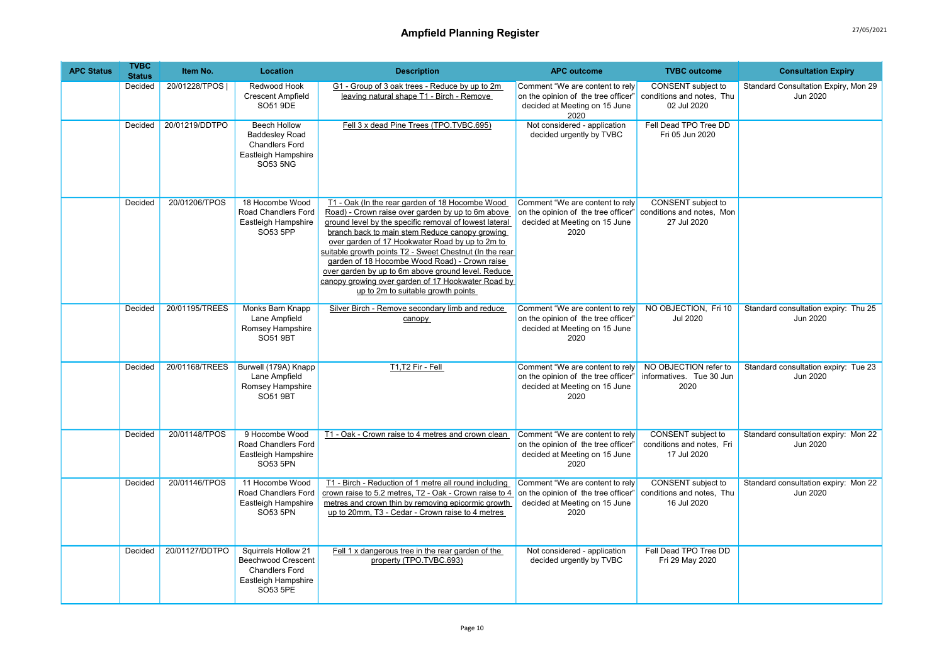| <b>APC Status</b> | <b>TVBC</b><br><b>Status</b> | Item No.       | Location                                                                                                        | <b>Description</b>                                                                                                                                                                                                                                                                                                                                                                                                                                                                                                                | <b>APC outcome</b>                                                                                              | <b>TVBC</b> outcome                                            | <b>Consultation Expiry</b>                       |
|-------------------|------------------------------|----------------|-----------------------------------------------------------------------------------------------------------------|-----------------------------------------------------------------------------------------------------------------------------------------------------------------------------------------------------------------------------------------------------------------------------------------------------------------------------------------------------------------------------------------------------------------------------------------------------------------------------------------------------------------------------------|-----------------------------------------------------------------------------------------------------------------|----------------------------------------------------------------|--------------------------------------------------|
|                   | Decided                      | 20/01228/TPOS  | Redwood Hook<br><b>Crescent Ampfield</b><br>SO51 9DE                                                            | G1 - Group of 3 oak trees - Reduce by up to 2m<br>leaving natural shape T1 - Birch - Remove                                                                                                                                                                                                                                                                                                                                                                                                                                       | Comment "We are content to rely<br>on the opinion of the tree officer'<br>decided at Meeting on 15 June<br>2020 | CONSENT subject to<br>conditions and notes, Thu<br>02 Jul 2020 | Standard Consultation Expiry, Mon 29<br>Jun 2020 |
|                   | Decided                      | 20/01219/DDTPO | <b>Beech Hollow</b><br><b>Baddesley Road</b><br><b>Chandlers Ford</b><br>Eastleigh Hampshire<br><b>SO53 5NG</b> | Fell 3 x dead Pine Trees (TPO.TVBC.695)                                                                                                                                                                                                                                                                                                                                                                                                                                                                                           | Not considered - application<br>decided urgently by TVBC                                                        | Fell Dead TPO Tree DD<br>Fri 05 Jun 2020                       |                                                  |
|                   | Decided                      | 20/01206/TPOS  | 18 Hocombe Wood<br>Road Chandlers Ford<br>Eastleigh Hampshire<br>SO53 5PP                                       | T1 - Oak (In the rear garden of 18 Hocombe Wood<br>Road) - Crown raise over garden by up to 6m above<br>ground level by the specific removal of lowest lateral<br>branch back to main stem Reduce canopy growing<br>over garden of 17 Hookwater Road by up to 2m to<br>suitable growth points T2 - Sweet Chestnut (In the rear<br>garden of 18 Hocombe Wood Road) - Crown raise<br>over garden by up to 6m above ground level. Reduce<br>canopy growing over garden of 17 Hookwater Road by<br>up to 2m to suitable growth points | Comment "We are content to rely<br>on the opinion of the tree officer"<br>decided at Meeting on 15 June<br>2020 | CONSENT subject to<br>conditions and notes, Mon<br>27 Jul 2020 |                                                  |
|                   | Decided                      | 20/01195/TREES | Monks Barn Knapp<br>Lane Ampfield<br>Romsey Hampshire<br><b>SO51 9BT</b>                                        | Silver Birch - Remove secondary limb and reduce<br>canopy                                                                                                                                                                                                                                                                                                                                                                                                                                                                         | Comment "We are content to rely<br>on the opinion of the tree officer"<br>decided at Meeting on 15 June<br>2020 | NO OBJECTION, Fri 10<br><b>Jul 2020</b>                        | Standard consultation expiry: Thu 25<br>Jun 2020 |
|                   | Decided                      | 20/01168/TREES | Burwell (179A) Knapp<br>Lane Ampfield<br>Romsey Hampshire<br><b>SO51 9BT</b>                                    | T1,T2 Fir - Fell                                                                                                                                                                                                                                                                                                                                                                                                                                                                                                                  | Comment "We are content to rely<br>on the opinion of the tree officer"<br>decided at Meeting on 15 June<br>2020 | NO OBJECTION refer to<br>informatives. Tue 30 Jun<br>2020      | Standard consultation expiry: Tue 23<br>Jun 2020 |
|                   | Decided                      | 20/01148/TPOS  | 9 Hocombe Wood<br>Road Chandlers Ford<br>Eastleigh Hampshire<br>SO53 5PN                                        | T1 - Oak - Crown raise to 4 metres and crown clean                                                                                                                                                                                                                                                                                                                                                                                                                                                                                | Comment "We are content to rely<br>on the opinion of the tree officer'<br>decided at Meeting on 15 June<br>2020 | CONSENT subject to<br>conditions and notes, Fri<br>17 Jul 2020 | Standard consultation expiry: Mon 22<br>Jun 2020 |
|                   | Decided                      | 20/01146/TPOS  | 11 Hocombe Wood<br>Road Chandlers Ford<br>Eastleigh Hampshire<br>SO53 5PN                                       | T1 - Birch - Reduction of 1 metre all round including<br>crown raise to 5.2 metres, T2 - Oak - Crown raise to 4<br>metres and crown thin by removing epicormic growth<br>up to 20mm, T3 - Cedar - Crown raise to 4 metres                                                                                                                                                                                                                                                                                                         | Comment "We are content to rely<br>on the opinion of the tree officer"<br>decided at Meeting on 15 June<br>2020 | CONSENT subject to<br>conditions and notes, Thu<br>16 Jul 2020 | Standard consultation expiry: Mon 22<br>Jun 2020 |
|                   | Decided                      | 20/01127/DDTPO | Squirrels Hollow 21<br><b>Beechwood Crescent</b><br><b>Chandlers Ford</b><br>Eastleigh Hampshire<br>SO53 5PE    | Fell 1 x dangerous tree in the rear garden of the<br>property (TPO.TVBC.693)                                                                                                                                                                                                                                                                                                                                                                                                                                                      | Not considered - application<br>decided urgently by TVBC                                                        | Fell Dead TPO Tree DD<br>Fri 29 May 2020                       |                                                  |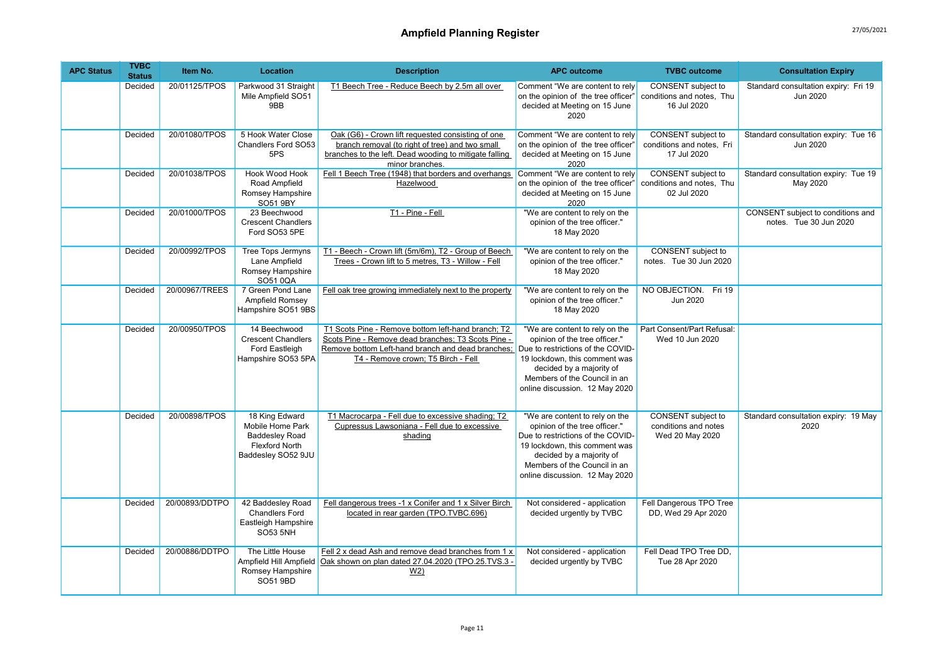| <b>APC Status</b> | <b>TVBC</b><br><b>Status</b> | Item No.       | Location                                                                                                   | <b>Description</b>                                                                                                                                                                                  | <b>APC outcome</b>                                                                                                                                                                                                                  | <b>TVBC</b> outcome                                                  | <b>Consultation Expiry</b>                                  |
|-------------------|------------------------------|----------------|------------------------------------------------------------------------------------------------------------|-----------------------------------------------------------------------------------------------------------------------------------------------------------------------------------------------------|-------------------------------------------------------------------------------------------------------------------------------------------------------------------------------------------------------------------------------------|----------------------------------------------------------------------|-------------------------------------------------------------|
|                   | Decided                      | 20/01125/TPOS  | Parkwood 31 Straight<br>Mile Ampfield SO51<br>9BB                                                          | T1 Beech Tree - Reduce Beech by 2.5m all over                                                                                                                                                       | Comment "We are content to rely<br>on the opinion of the tree officer"<br>decided at Meeting on 15 June<br>2020                                                                                                                     | CONSENT subject to<br>conditions and notes, Thu<br>16 Jul 2020       | Standard consultation expiry: Fri 19<br>Jun 2020            |
|                   | Decided                      | 20/01080/TPOS  | 5 Hook Water Close<br>Chandlers Ford SO53<br>5PS                                                           | Oak (G6) - Crown lift requested consisting of one<br>branch removal (to right of tree) and two small<br>branches to the left. Dead wooding to mitigate falling<br>minor branches.                   | Comment "We are content to rely<br>on the opinion of the tree officer"<br>decided at Meeting on 15 June<br>2020                                                                                                                     | CONSENT subject to<br>conditions and notes, Fri<br>17 Jul 2020       | Standard consultation expiry: Tue 16<br>Jun 2020            |
|                   | Decided                      | 20/01038/TPOS  | <b>Hook Wood Hook</b><br>Road Ampfield<br>Romsey Hampshire<br>SO51 9BY                                     | Fell 1 Beech Tree (1948) that borders and overhangs<br>Hazelwood                                                                                                                                    | Comment "We are content to rely<br>on the opinion of the tree officer'<br>decided at Meeting on 15 June<br>2020                                                                                                                     | CONSENT subject to<br>conditions and notes, Thu<br>02 Jul 2020       | Standard consultation expiry: Tue 19<br>May 2020            |
|                   | Decided                      | 20/01000/TPOS  | 23 Beechwood<br><b>Crescent Chandlers</b><br>Ford SO53 5PE                                                 | T1 - Pine - Fell                                                                                                                                                                                    | "We are content to rely on the<br>opinion of the tree officer."<br>18 May 2020                                                                                                                                                      |                                                                      | CONSENT subject to conditions and<br>notes. Tue 30 Jun 2020 |
|                   | Decided                      | 20/00992/TPOS  | <b>Tree Tops Jermyns</b><br>Lane Ampfield<br>Romsey Hampshire<br>SO5100A                                   | T1 - Beech - Crown lift (5m/6m), T2 - Group of Beech<br>Trees - Crown lift to 5 metres, T3 - Willow - Fell                                                                                          | "We are content to rely on the<br>opinion of the tree officer."<br>18 May 2020                                                                                                                                                      | <b>CONSENT</b> subject to<br>notes. Tue 30 Jun 2020                  |                                                             |
|                   | Decided                      | 20/00967/TREES | 7 Green Pond Lane<br>Ampfield Romsey<br>Hampshire SO51 9BS                                                 | Fell oak tree growing immediately next to the property                                                                                                                                              | "We are content to rely on the<br>opinion of the tree officer."<br>18 May 2020                                                                                                                                                      | NO OBJECTION. Fri 19<br>Jun 2020                                     |                                                             |
|                   | Decided                      | 20/00950/TPOS  | 14 Beechwood<br><b>Crescent Chandlers</b><br>Ford Eastleigh<br>Hampshire SO53 5PA                          | T1 Scots Pine - Remove bottom left-hand branch; T2<br>Scots Pine - Remove dead branches; T3 Scots Pine -<br>Remove bottom Left-hand branch and dead branches:<br>T4 - Remove crown; T5 Birch - Fell | "We are content to rely on the<br>opinion of the tree officer."<br>Due to restrictions of the COVID-<br>19 lockdown, this comment was<br>decided by a majority of<br>Members of the Council in an<br>online discussion. 12 May 2020 | Part Consent/Part Refusal:<br>Wed 10 Jun 2020                        |                                                             |
|                   | Decided                      | 20/00898/TPOS  | 18 King Edward<br>Mobile Home Park<br><b>Baddesley Road</b><br><b>Flexford North</b><br>Baddesley SO52 9JU | T1 Macrocarpa - Fell due to excessive shading; T2<br>Cupressus Lawsoniana - Fell due to excessive<br>shading                                                                                        | "We are content to rely on the<br>opinion of the tree officer."<br>Due to restrictions of the COVID-<br>19 lockdown, this comment was<br>decided by a majority of<br>Members of the Council in an<br>online discussion. 12 May 2020 | <b>CONSENT</b> subject to<br>conditions and notes<br>Wed 20 May 2020 | Standard consultation expiry: 19 May<br>2020                |
|                   | Decided                      | 20/00893/DDTPO | 42 Baddesley Road<br><b>Chandlers Ford</b><br>Eastleigh Hampshire<br><b>SO53 5NH</b>                       | Fell dangerous trees -1 x Conifer and 1 x Silver Birch<br>located in rear garden (TPO.TVBC.696)                                                                                                     | Not considered - application<br>decided urgently by TVBC                                                                                                                                                                            | Fell Dangerous TPO Tree<br>DD, Wed 29 Apr 2020                       |                                                             |
|                   | Decided                      | 20/00886/DDTPO | The Little House<br>Ampfield Hill Ampfield<br>Romsey Hampshire<br>SO51 9BD                                 | Fell 2 x dead Ash and remove dead branches from 1 x<br>Oak shown on plan dated 27.04.2020 (TPO.25.TVS.3 -<br>W <sub>2</sub>                                                                         | Not considered - application<br>decided urgently by TVBC                                                                                                                                                                            | Fell Dead TPO Tree DD,<br>Tue 28 Apr 2020                            |                                                             |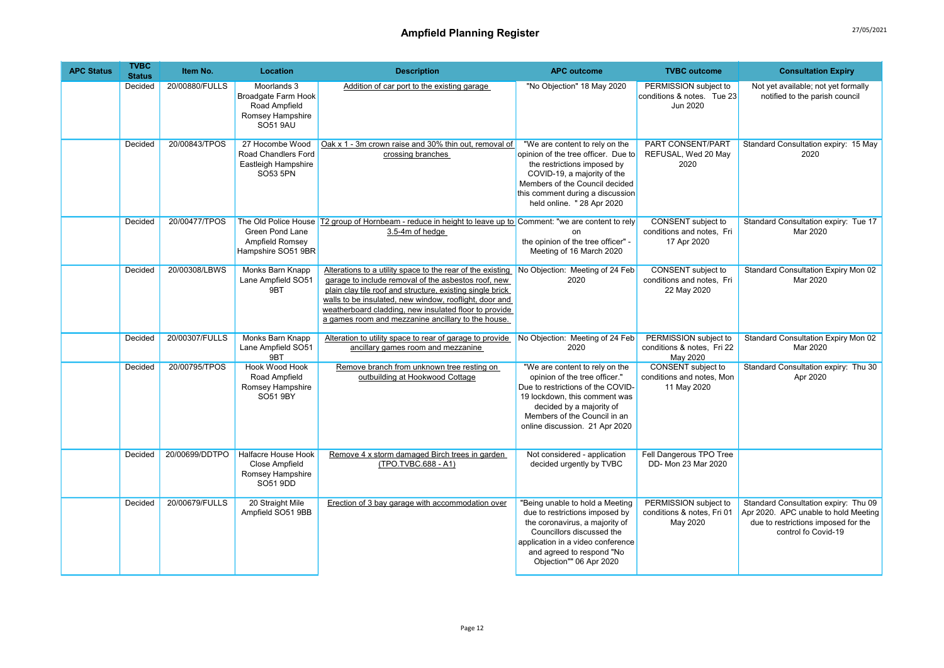| <b>APC Status</b> | <b>TVBC</b><br><b>Status</b> | Item No.       | Location                                                                                   | <b>Description</b>                                                                                                                                                                                                                                                                                                                                      | <b>APC outcome</b>                                                                                                                                                                                                                      | <b>TVBC</b> outcome                                                   | <b>Consultation Expiry</b>                                                                                                                 |
|-------------------|------------------------------|----------------|--------------------------------------------------------------------------------------------|---------------------------------------------------------------------------------------------------------------------------------------------------------------------------------------------------------------------------------------------------------------------------------------------------------------------------------------------------------|-----------------------------------------------------------------------------------------------------------------------------------------------------------------------------------------------------------------------------------------|-----------------------------------------------------------------------|--------------------------------------------------------------------------------------------------------------------------------------------|
|                   | Decided                      | 20/00880/FULLS | Moorlands 3<br>Broadgate Farm Hook<br>Road Ampfield<br>Romsey Hampshire<br><b>SO51 9AU</b> | Addition of car port to the existing garage                                                                                                                                                                                                                                                                                                             | "No Objection" 18 May 2020                                                                                                                                                                                                              | PERMISSION subject to<br>conditions & notes. Tue 23<br>Jun 2020       | Not yet available; not yet formally<br>notified to the parish council                                                                      |
|                   | Decided                      | 20/00843/TPOS  | 27 Hocombe Wood<br>Road Chandlers Ford<br>Eastleigh Hampshire<br>SO53 5PN                  | Oak x 1 - 3m crown raise and 30% thin out, removal of<br>crossing branches                                                                                                                                                                                                                                                                              | "We are content to rely on the<br>opinion of the tree officer. Due to<br>the restrictions imposed by<br>COVID-19, a majority of the<br>Members of the Council decided<br>this comment during a discussion<br>held online. " 28 Apr 2020 | PART CONSENT/PART<br>REFUSAL, Wed 20 May<br>2020                      | Standard Consultation expiry: 15 May<br>2020                                                                                               |
|                   | Decided                      | 20/00477/TPOS  | Green Pond Lane<br>Ampfield Romsey<br>Hampshire SO51 9BR                                   | The Old Police House T2 group of Hornbeam - reduce in height to leave up to Comment: "we are content to rely<br>3.5-4m of hedge                                                                                                                                                                                                                         | on<br>the opinion of the tree officer" -<br>Meeting of 16 March 2020                                                                                                                                                                    | CONSENT subject to<br>conditions and notes, Fri<br>17 Apr 2020        | Standard Consultation expiry: Tue 17<br>Mar 2020                                                                                           |
|                   | Decided                      | 20/00308/LBWS  | Monks Barn Knapp<br>Lane Ampfield SO51<br>9BT                                              | Alterations to a utility space to the rear of the existing<br>garage to include removal of the asbestos roof, new<br>plain clay tile roof and structure, existing single brick<br>walls to be insulated, new window, rooflight, door and<br>weatherboard cladding, new insulated floor to provide<br>a games room and mezzanine ancillary to the house. | No Objection: Meeting of 24 Feb<br>2020                                                                                                                                                                                                 | CONSENT subject to<br>conditions and notes, Fri<br>22 May 2020        | Standard Consultation Expiry Mon 02<br>Mar 2020                                                                                            |
|                   | Decided                      | 20/00307/FULLS | Monks Barn Knapp<br>Lane Ampfield SO51<br>9BT                                              | Alteration to utility space to rear of garage to provide<br>ancillary games room and mezzanine                                                                                                                                                                                                                                                          | No Objection: Meeting of 24 Feb<br>2020                                                                                                                                                                                                 | PERMISSION subject to<br>conditions & notes, Fri 22<br>May 2020       | Standard Consultation Expiry Mon 02<br>Mar 2020                                                                                            |
|                   | Decided                      | 20/00795/TPOS  | <b>Hook Wood Hook</b><br>Road Ampfield<br>Romsey Hampshire<br>SO51 9BY                     | Remove branch from unknown tree resting on<br>outbuilding at Hookwood Cottage                                                                                                                                                                                                                                                                           | "We are content to rely on the<br>opinion of the tree officer."<br>Due to restrictions of the COVID-<br>19 lockdown, this comment was<br>decided by a majority of<br>Members of the Council in an<br>online discussion. 21 Apr 2020     | <b>CONSENT</b> subject to<br>conditions and notes, Mon<br>11 May 2020 | Standard Consultation expiry: Thu 30<br>Apr 2020                                                                                           |
|                   | Decided                      | 20/00699/DDTPO | Halfacre House Hook<br>Close Ampfield<br>Romsey Hampshire<br>SO51 9DD                      | Remove 4 x storm damaged Birch trees in garden<br>(TPO.TVBC.688 - A1)                                                                                                                                                                                                                                                                                   | Not considered - application<br>decided urgently by TVBC                                                                                                                                                                                | Fell Dangerous TPO Tree<br>DD- Mon 23 Mar 2020                        |                                                                                                                                            |
|                   | Decided                      | 20/00679/FULLS | 20 Straight Mile<br>Ampfield SO51 9BB                                                      | Erection of 3 bay garage with accommodation over                                                                                                                                                                                                                                                                                                        | "Being unable to hold a Meeting<br>due to restrictions imposed by<br>the coronavirus, a majority of<br>Councillors discussed the<br>application in a video conference<br>and agreed to respond "No<br>Objection"" 06 Apr 2020           | PERMISSION subject to<br>conditions & notes, Fri 01<br>May 2020       | Standard Consultation expiry: Thu 09<br>Apr 2020. APC unable to hold Meeting<br>due to restrictions imposed for the<br>control fo Covid-19 |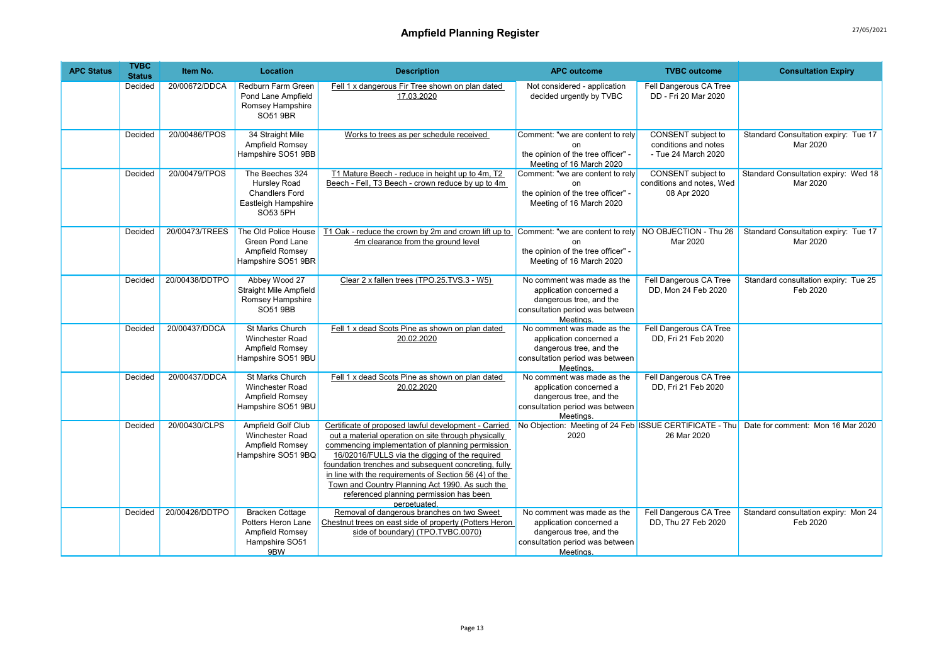| <b>APC Status</b> | <b>TVBC</b><br><b>Status</b> | Item No.       | <b>Location</b>                                                                                    | <b>Description</b>                                                                                                                                                                                                                                                                                                                                                                                                                                | <b>APC outcome</b>                                                                                                               | <b>TVBC</b> outcome                                               | <b>Consultation Expiry</b>                                                                |
|-------------------|------------------------------|----------------|----------------------------------------------------------------------------------------------------|---------------------------------------------------------------------------------------------------------------------------------------------------------------------------------------------------------------------------------------------------------------------------------------------------------------------------------------------------------------------------------------------------------------------------------------------------|----------------------------------------------------------------------------------------------------------------------------------|-------------------------------------------------------------------|-------------------------------------------------------------------------------------------|
|                   | Decided                      | 20/00672/DDCA  | Redburn Farm Green<br>Pond Lane Ampfield<br>Romsey Hampshire<br>SO51 9BR                           | Fell 1 x dangerous Fir Tree shown on plan dated<br>17.03.2020                                                                                                                                                                                                                                                                                                                                                                                     | Not considered - application<br>decided urgently by TVBC                                                                         | Fell Dangerous CA Tree<br>DD - Fri 20 Mar 2020                    |                                                                                           |
|                   | Decided                      | 20/00486/TPOS  | 34 Straight Mile<br>Ampfield Romsey<br>Hampshire SO51 9BB                                          | Works to trees as per schedule received                                                                                                                                                                                                                                                                                                                                                                                                           | Comment: "we are content to rely<br>on<br>the opinion of the tree officer" -<br>Meeting of 16 March 2020                         | CONSENT subject to<br>conditions and notes<br>- Tue 24 March 2020 | Standard Consultation expiry: Tue 17<br>Mar 2020                                          |
|                   | Decided                      | 20/00479/TPOS  | The Beeches 324<br>Hursley Road<br><b>Chandlers Ford</b><br>Eastleigh Hampshire<br><b>SO53 5PH</b> | T1 Mature Beech - reduce in height up to 4m, T2<br>Beech - Fell, T3 Beech - crown reduce by up to 4m                                                                                                                                                                                                                                                                                                                                              | Comment: "we are content to rely<br>the opinion of the tree officer" -<br>Meeting of 16 March 2020                               | CONSENT subject to<br>conditions and notes, Wed<br>08 Apr 2020    | Standard Consultation expiry: Wed 18<br>Mar 2020                                          |
|                   | Decided                      | 20/00473/TREES | The Old Police House<br>Green Pond Lane<br>Ampfield Romsey<br>Hampshire SO51 9BR                   | T1 Oak - reduce the crown by 2m and crown lift up to Comment: "we are content to rely NO OBJECTION - Thu 26<br>4m clearance from the ground level                                                                                                                                                                                                                                                                                                 | the opinion of the tree officer" -<br>Meeting of 16 March 2020                                                                   | Mar 2020                                                          | Standard Consultation expiry: Tue 17<br>Mar 2020                                          |
|                   | Decided                      | 20/00438/DDTPO | Abbey Wood 27<br>Straight Mile Ampfield<br>Romsey Hampshire<br><b>SO51 9BB</b>                     | Clear 2 x fallen trees (TPO.25.TVS.3 - W5)                                                                                                                                                                                                                                                                                                                                                                                                        | No comment was made as the<br>application concerned a<br>dangerous tree, and the<br>consultation period was between<br>Meetings. | Fell Dangerous CA Tree<br>DD, Mon 24 Feb 2020                     | Standard consultation expiry: Tue 25<br>Feb 2020                                          |
|                   | Decided                      | 20/00437/DDCA  | <b>St Marks Church</b><br>Winchester Road<br>Ampfield Romsey<br>Hampshire SO51 9BU                 | Fell 1 x dead Scots Pine as shown on plan dated<br>20.02.2020                                                                                                                                                                                                                                                                                                                                                                                     | No comment was made as the<br>application concerned a<br>dangerous tree, and the<br>consultation period was between<br>Meetings. | Fell Dangerous CA Tree<br>DD, Fri 21 Feb 2020                     |                                                                                           |
|                   | Decided                      | 20/00437/DDCA  | St Marks Church<br>Winchester Road<br>Ampfield Romsey<br>Hampshire SO51 9BU                        | Fell 1 x dead Scots Pine as shown on plan dated<br>20.02.2020                                                                                                                                                                                                                                                                                                                                                                                     | No comment was made as the<br>application concerned a<br>dangerous tree, and the<br>consultation period was between<br>Meetings. | Fell Dangerous CA Tree<br>DD, Fri 21 Feb 2020                     |                                                                                           |
|                   | Decided                      | 20/00430/CLPS  | Ampfield Golf Club<br>Winchester Road<br>Ampfield Romsey<br>Hampshire SO51 9BQ                     | Certificate of proposed lawful development - Carried<br>out a material operation on site through physically<br>commencing implementation of planning permission<br>16/02016/FULLS via the digging of the reguired<br>foundation trenches and subsequent concreting, fully<br>in line with the requirements of Section 56 (4) of the<br>Town and Country Planning Act 1990. As such the<br>referenced planning permission has been<br>perpetuated. | 2020                                                                                                                             | 26 Mar 2020                                                       | No Objection: Meeting of 24 Feb ISSUE CERTIFICATE - Thu Date for comment: Mon 16 Mar 2020 |
|                   | Decided                      | 20/00426/DDTPO | <b>Bracken Cottage</b><br>Potters Heron Lane<br>Ampfield Romsey<br>Hampshire SO51<br>9BW           | Removal of dangerous branches on two Sweet<br>Chestnut trees on east side of property (Potters Heron<br>side of boundary) (TPO.TVBC.0070)                                                                                                                                                                                                                                                                                                         | No comment was made as the<br>application concerned a<br>dangerous tree, and the<br>consultation period was between<br>Meetings. | Fell Dangerous CA Tree<br>DD, Thu 27 Feb 2020                     | Standard consultation expiry: Mon 24<br>Feb 2020                                          |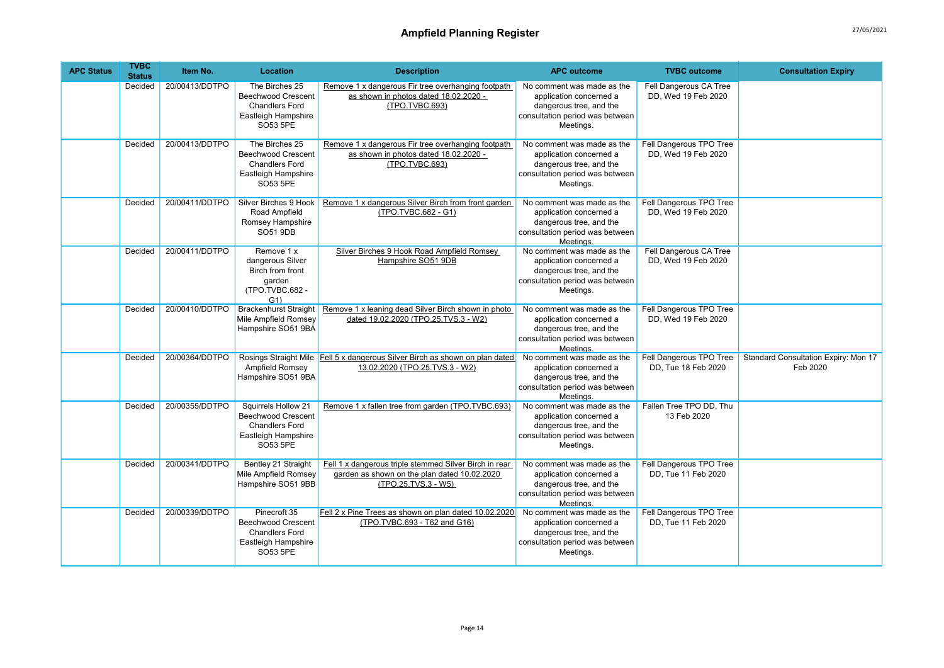| <b>APC Status</b> | <b>TVBC</b><br><b>Status</b> | Item No.       | Location                                                                                                     | <b>Description</b>                                                                                                            | <b>APC outcome</b>                                                                                                               | <b>TVBC</b> outcome                            | <b>Consultation Expiry</b>                              |
|-------------------|------------------------------|----------------|--------------------------------------------------------------------------------------------------------------|-------------------------------------------------------------------------------------------------------------------------------|----------------------------------------------------------------------------------------------------------------------------------|------------------------------------------------|---------------------------------------------------------|
|                   | Decided                      | 20/00413/DDTPO | The Birches 25<br><b>Beechwood Crescent</b><br><b>Chandlers Ford</b><br>Eastleigh Hampshire<br>SO53 5PE      | Remove 1 x dangerous Fir tree overhanging footpath<br>as shown in photos dated 18.02.2020 -<br>(TPO.TVBC.693)                 | No comment was made as the<br>application concerned a<br>dangerous tree, and the<br>consultation period was between<br>Meetings. | Fell Dangerous CA Tree<br>DD, Wed 19 Feb 2020  |                                                         |
|                   | Decided                      | 20/00413/DDTPO | The Birches 25<br><b>Beechwood Crescent</b><br><b>Chandlers Ford</b><br>Eastleigh Hampshire<br>SO53 5PE      | Remove 1 x dangerous Fir tree overhanging footpath<br>as shown in photos dated 18.02.2020 -<br>(TPO.TVBC.693)                 | No comment was made as the<br>application concerned a<br>dangerous tree, and the<br>consultation period was between<br>Meetings. | Fell Dangerous TPO Tree<br>DD. Wed 19 Feb 2020 |                                                         |
|                   | Decided                      | 20/00411/DDTPO | Silver Birches 9 Hook<br>Road Ampfield<br>Romsey Hampshire<br><b>SO51 9DB</b>                                | Remove 1 x dangerous Silver Birch from front garden<br>(TPO.TVBC.682 - G1)                                                    | No comment was made as the<br>application concerned a<br>dangerous tree, and the<br>consultation period was between<br>Meetings. | Fell Dangerous TPO Tree<br>DD. Wed 19 Feb 2020 |                                                         |
|                   | Decided                      | 20/00411/DDTPO | Remove 1 x<br>dangerous Silver<br>Birch from front<br>garden<br>(TPO.TVBC.682 -<br>G1                        | Silver Birches 9 Hook Road Ampfield Romsey<br>Hampshire SO51 9DB                                                              | No comment was made as the<br>application concerned a<br>dangerous tree, and the<br>consultation period was between<br>Meetings. | Fell Dangerous CA Tree<br>DD, Wed 19 Feb 2020  |                                                         |
|                   | Decided                      | 20/00410/DDTPO | <b>Brackenhurst Straight</b><br>Mile Ampfield Romsey<br>Hampshire SO51 9BA                                   | Remove 1 x leaning dead Silver Birch shown in photo<br>dated 19.02.2020 (TPO.25.TVS.3 - W2)                                   | No comment was made as the<br>application concerned a<br>dangerous tree, and the<br>consultation period was between<br>Meetings. | Fell Dangerous TPO Tree<br>DD. Wed 19 Feb 2020 |                                                         |
|                   | Decided                      | 20/00364/DDTPO | Ampfield Romsey<br>Hampshire SO51 9BA                                                                        | Rosings Straight Mile Fell 5 x dangerous Silver Birch as shown on plan dated<br>13.02.2020 (TPO.25.TVS.3 - W2)                | No comment was made as the<br>application concerned a<br>dangerous tree, and the<br>consultation period was between<br>Meetings. | Fell Dangerous TPO Tree<br>DD. Tue 18 Feb 2020 | <b>Standard Consultation Expiry: Mon 17</b><br>Feb 2020 |
|                   | Decided                      | 20/00355/DDTPO | Squirrels Hollow 21<br><b>Beechwood Crescent</b><br><b>Chandlers Ford</b><br>Eastleigh Hampshire<br>SO53 5PE | Remove 1 x fallen tree from garden (TPO.TVBC.693)                                                                             | No comment was made as the<br>application concerned a<br>dangerous tree, and the<br>consultation period was between<br>Meetings. | Fallen Tree TPO DD, Thu<br>13 Feb 2020         |                                                         |
|                   | Decided                      | 20/00341/DDTPO | Bentley 21 Straight<br>Mile Ampfield Romsey<br>Hampshire SO51 9BB                                            | Fell 1 x dangerous triple stemmed Silver Birch in rear<br>garden as shown on the plan dated 10.02.2020<br>(TPO.25.TVS.3 - W5) | No comment was made as the<br>application concerned a<br>dangerous tree, and the<br>consultation period was between<br>Meetings. | Fell Dangerous TPO Tree<br>DD, Tue 11 Feb 2020 |                                                         |
|                   | Decided                      | 20/00339/DDTPO | Pinecroft 35<br><b>Beechwood Crescent</b><br><b>Chandlers Ford</b><br>Eastleigh Hampshire<br>SO53 5PE        | Fell 2 x Pine Trees as shown on plan dated 10.02.2020<br>(TPO.TVBC.693 - T62 and G16)                                         | No comment was made as the<br>application concerned a<br>dangerous tree, and the<br>consultation period was between<br>Meetings. | Fell Dangerous TPO Tree<br>DD. Tue 11 Feb 2020 |                                                         |